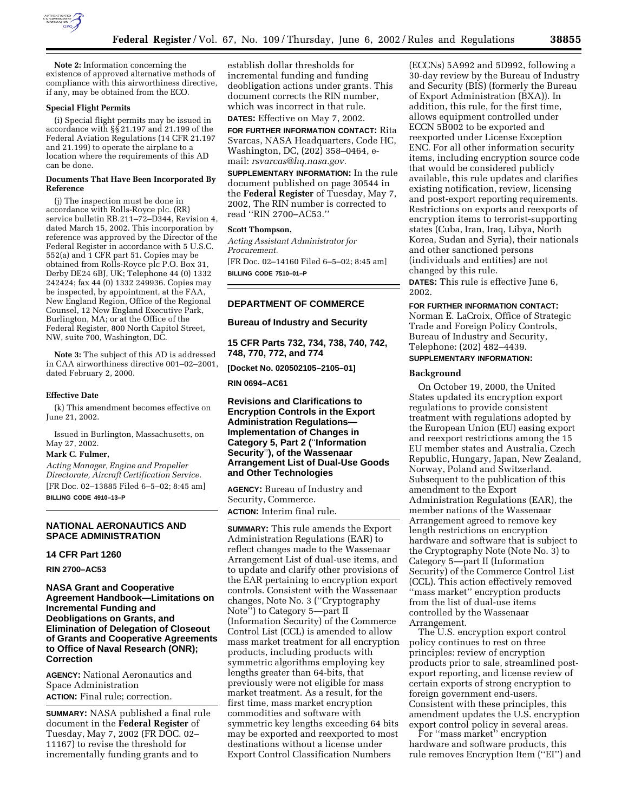

**Note 2:** Information concerning the existence of approved alternative methods of compliance with this airworthiness directive, if any, may be obtained from the ECO.

#### **Special Flight Permits**

(i) Special flight permits may be issued in accordance with §§ 21.197 and 21.199 of the Federal Aviation Regulations (14 CFR 21.197 and 21.199) to operate the airplane to a location where the requirements of this AD can be done.

#### **Documents That Have Been Incorporated By Reference**

(j) The inspection must be done in accordance with Rolls-Royce plc. (RR) service bulletin RB.211-72-D344, Revision 4, dated March 15, 2002. This incorporation by reference was approved by the Director of the Federal Register in accordance with 5 U.S.C. 552(a) and 1 CFR part 51. Copies may be obtained from Rolls-Royce plc P.O. Box 31, Derby DE24 6BJ, UK; Telephone 44 (0) 1332 242424; fax 44 (0) 1332 249936. Copies may be inspected, by appointment, at the FAA, New England Region, Office of the Regional Counsel, 12 New England Executive Park, Burlington, MA; or at the Office of the Federal Register, 800 North Capitol Street, NW, suite 700, Washington, DC.

**Note 3:** The subject of this AD is addressed in CAA airworthiness directive 001–02–2001, dated February 2, 2000.

#### **Effective Date**

(k) This amendment becomes effective on June 21, 2002.

Issued in Burlington, Massachusetts, on May 27, 2002.

## **Mark C. Fulmer,**

*Acting Manager, Engine and Propeller Directorate, Aircraft Certification Service.* [FR Doc. 02–13885 Filed 6–5–02; 8:45 am] **BILLING CODE 4910–13–P**

## **NATIONAL AERONAUTICS AND SPACE ADMINISTRATION**

#### **14 CFR Part 1260**

**RIN 2700–AC53** 

**NASA Grant and Cooperative Agreement Handbook—Limitations on Incremental Funding and Deobligations on Grants, and Elimination of Delegation of Closeout of Grants and Cooperative Agreements to Office of Naval Research (ONR); Correction**

**AGENCY:** National Aeronautics and Space Administration **ACTION:** Final rule; correction.

**SUMMARY:** NASA published a final rule document in the **Federal Register** of Tuesday, May 7, 2002 (FR DOC. 02– 11167) to revise the threshold for incrementally funding grants and to

establish dollar thresholds for incremental funding and funding deobligation actions under grants. This document corrects the RIN number, which was incorrect in that rule. **DATES:** Effective on May 7, 2002.

**FOR FURTHER INFORMATION CONTACT:** Rita Svarcas, NASA Headquarters, Code HC, Washington, DC, (202) 358–0464, email: *rsvarcas@hq.nasa.gov.*

**SUPPLEMENTARY INFORMATION:** In the rule document published on page 30544 in the **Federal Register** of Tuesday, May 7, 2002, The RIN number is corrected to read ''RIN 2700–AC53.''

## **Scott Thompson,**

*Acting Assistant Administrator for Procurement.*

[FR Doc. 02–14160 Filed 6–5–02; 8:45 am] **BILLING CODE 7510–01–P**

## **DEPARTMENT OF COMMERCE**

**Bureau of Industry and Security** 

**15 CFR Parts 732, 734, 738, 740, 742, 748, 770, 772, and 774** 

**[Docket No. 020502105–2105–01]** 

**RIN 0694–AC61** 

# **Revisions and Clarifications to Encryption Controls in the Export Administration Regulations— Implementation of Changes in Category 5, Part 2 (**''**Information Security**''**), of the Wassenaar Arrangement List of Dual-Use Goods and Other Technologies**

**AGENCY:** Bureau of Industry and Security, Commerce. **ACTION:** Interim final rule.

**SUMMARY:** This rule amends the Export Administration Regulations (EAR) to reflect changes made to the Wassenaar Arrangement List of dual-use items, and to update and clarify other provisions of the EAR pertaining to encryption export controls. Consistent with the Wassenaar changes, Note No. 3 (''Cryptography Note'') to Category 5—part II (Information Security) of the Commerce Control List (CCL) is amended to allow mass market treatment for all encryption products, including products with symmetric algorithms employing key lengths greater than 64-bits, that previously were not eligible for mass market treatment. As a result, for the first time, mass market encryption commodities and software with symmetric key lengths exceeding 64 bits may be exported and reexported to most destinations without a license under Export Control Classification Numbers

(ECCNs) 5A992 and 5D992, following a 30-day review by the Bureau of Industry and Security (BIS) (formerly the Bureau of Export Administration (BXA)). In addition, this rule, for the first time, allows equipment controlled under ECCN 5B002 to be exported and reexported under License Exception ENC. For all other information security items, including encryption source code that would be considered publicly available, this rule updates and clarifies existing notification, review, licensing and post-export reporting requirements. Restrictions on exports and reexports of encryption items to terrorist-supporting states (Cuba, Iran, Iraq, Libya, North Korea, Sudan and Syria), their nationals and other sanctioned persons (individuals and entities) are not changed by this rule.

**DATES:** This rule is effective June 6, 2002.

#### **FOR FURTHER INFORMATION CONTACT:**

Norman E. LaCroix, Office of Strategic Trade and Foreign Policy Controls, Bureau of Industry and Security, Telephone: (202) 482–4439. **SUPPLEMENTARY INFORMATION:** 

#### **Background**

On October 19, 2000, the United States updated its encryption export regulations to provide consistent treatment with regulations adopted by the European Union (EU) easing export and reexport restrictions among the 15 EU member states and Australia, Czech Republic, Hungary, Japan, New Zealand, Norway, Poland and Switzerland. Subsequent to the publication of this amendment to the Export Administration Regulations (EAR), the member nations of the Wassenaar Arrangement agreed to remove key length restrictions on encryption hardware and software that is subject to the Cryptography Note (Note No. 3) to Category 5—part II (Information Security) of the Commerce Control List (CCL). This action effectively removed ''mass market'' encryption products from the list of dual-use items controlled by the Wassenaar Arrangement.

The U.S. encryption export control policy continues to rest on three principles: review of encryption products prior to sale, streamlined postexport reporting, and license review of certain exports of strong encryption to foreign government end-users. Consistent with these principles, this amendment updates the U.S. encryption export control policy in several areas.

For ''mass market'' encryption hardware and software products, this rule removes Encryption Item (''EI'') and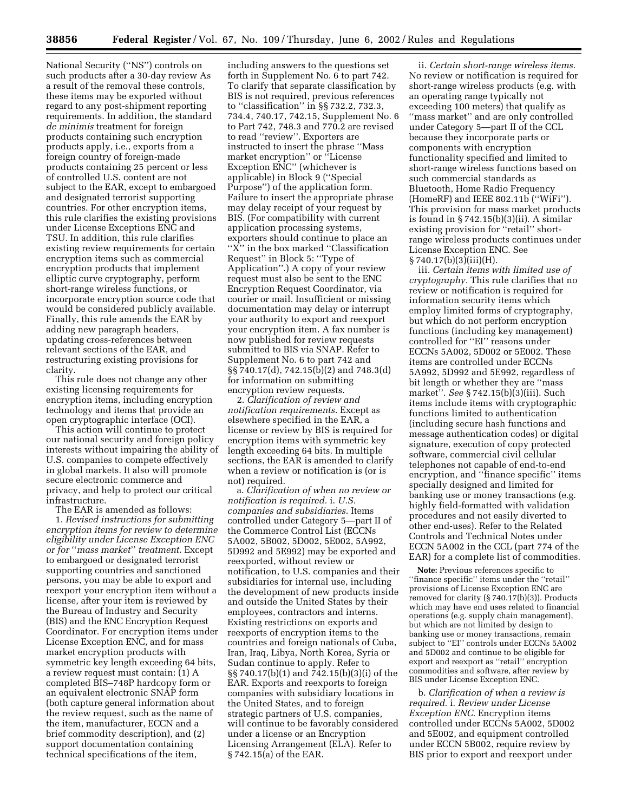National Security (''NS'') controls on such products after a 30-day review As a result of the removal these controls, these items may be exported without regard to any post-shipment reporting requirements. In addition, the standard *de minimis* treatment for foreign products containing such encryption products apply, i.e., exports from a foreign country of foreign-made products containing 25 percent or less of controlled U.S. content are not subject to the EAR, except to embargoed and designated terrorist supporting countries. For other encryption items, this rule clarifies the existing provisions under License Exceptions ENC and TSU. In addition, this rule clarifies existing review requirements for certain encryption items such as commercial encryption products that implement elliptic curve cryptography, perform short-range wireless functions, or incorporate encryption source code that would be considered publicly available. Finally, this rule amends the EAR by adding new paragraph headers, updating cross-references between relevant sections of the EAR, and restructuring existing provisions for clarity.

This rule does not change any other existing licensing requirements for encryption items, including encryption technology and items that provide an open cryptographic interface (OCI).

This action will continue to protect our national security and foreign policy interests without impairing the ability of U.S. companies to compete effectively in global markets. It also will promote secure electronic commerce and privacy, and help to protect our critical infrastructure.

The EAR is amended as follows:

1. *Revised instructions for submitting encryption items for review to determine eligibility under License Exception ENC or for* ''*mass market*'' *treatment.* Except to embargoed or designated terrorist supporting countries and sanctioned persons, you may be able to export and reexport your encryption item without a license, after your item is reviewed by the Bureau of Industry and Security (BIS) and the ENC Encryption Request Coordinator. For encryption items under License Exception ENC, and for mass market encryption products with symmetric key length exceeding 64 bits, a review request must contain: (1) A completed BIS–748P hardcopy form or an equivalent electronic SNAP form (both capture general information about the review request, such as the name of the item, manufacturer, ECCN and a brief commodity description), and (2) support documentation containing technical specifications of the item,

including answers to the questions set forth in Supplement No. 6 to part 742. To clarify that separate classification by BIS is not required, previous references to ''classification'' in §§ 732.2, 732.3, 734.4, 740.17, 742.15, Supplement No. 6 to Part 742, 748.3 and 770.2 are revised to read ''review''. Exporters are instructed to insert the phrase ''Mass market encryption'' or ''License Exception ENC'' (whichever is applicable) in Block 9 (''Special Purpose'') of the application form. Failure to insert the appropriate phrase may delay receipt of your request by BIS. (For compatibility with current application processing systems, exporters should continue to place an "X" in the box marked "Classification Request'' in Block 5: ''Type of Application''.) A copy of your review request must also be sent to the ENC Encryption Request Coordinator, via courier or mail. Insufficient or missing documentation may delay or interrupt your authority to export and reexport your encryption item. A fax number is now published for review requests submitted to BIS via SNAP. Refer to Supplement No. 6 to part 742 and §§ 740.17(d), 742.15(b)(2) and 748.3(d) for information on submitting encryption review requests.

2. *Clarification of review and notification requirements.* Except as elsewhere specified in the EAR, a license or review by BIS is required for encryption items with symmetric key length exceeding 64 bits. In multiple sections, the EAR is amended to clarify when a review or notification is (or is not) required.

a. *Clarification of when no review or notification is required.* i. *U.S. companies and subsidiaries*. Items controlled under Category 5—part II of the Commerce Control List (ECCNs 5A002, 5B002, 5D002, 5E002, 5A992, 5D992 and 5E992) may be exported and reexported, without review or notification, to U.S. companies and their subsidiaries for internal use, including the development of new products inside and outside the United States by their employees, contractors and interns. Existing restrictions on exports and reexports of encryption items to the countries and foreign nationals of Cuba, Iran, Iraq, Libya, North Korea, Syria or Sudan continue to apply. Refer to §§ 740.17(b)(1) and 742.15(b)(3)(i) of the EAR. Exports and reexports to foreign companies with subsidiary locations in the United States, and to foreign strategic partners of U.S. companies, will continue to be favorably considered under a license or an Encryption Licensing Arrangement (ELA). Refer to § 742.15(a) of the EAR.

ii. *Certain short-range wireless items.* No review or notification is required for short-range wireless products (e.g. with an operating range typically not exceeding 100 meters) that qualify as ''mass market'' and are only controlled under Category 5—part II of the CCL because they incorporate parts or components with encryption functionality specified and limited to short-range wireless functions based on such commercial standards as Bluetooth, Home Radio Frequency (HomeRF) and IEEE 802.11b (''WiFi''). This provision for mass market products is found in  $\S 742.15(b)(3)(ii)$ . A similar existing provision for ''retail'' shortrange wireless products continues under License Exception ENC. See § 740.17(b)(3)(iii)(H).

iii. *Certain items with limited use of cryptography.* This rule clarifies that no review or notification is required for information security items which employ limited forms of cryptography, but which do not perform encryption functions (including key management) controlled for ''EI'' reasons under ECCNs 5A002, 5D002 or 5E002. These items are controlled under ECCNs 5A992, 5D992 and 5E992, regardless of bit length or whether they are ''mass market''. *See* § 742.15(b)(3)(iii). Such items include items with cryptographic functions limited to authentication (including secure hash functions and message authentication codes) or digital signature, execution of copy protected software, commercial civil cellular telephones not capable of end-to-end encryption, and ''finance specific'' items specially designed and limited for banking use or money transactions (e.g. highly field-formatted with validation procedures and not easily diverted to other end-uses). Refer to the Related Controls and Technical Notes under ECCN 5A002 in the CCL (part 774 of the EAR) for a complete list of commodities.

**Note:** Previous references specific to ''finance specific'' items under the ''retail'' provisions of License Exception ENC are removed for clarity  $(\S 740.17(b)(3))$ . Products which may have end uses related to financial operations (e.g. supply chain management), but which are not limited by design to banking use or money transactions, remain subject to ''EI'' controls under ECCNs 5A002 and 5D002 and continue to be eligible for export and reexport as ''retail'' encryption commodities and software, after review by BIS under License Exception ENC.

b. *Clarification of when a review is required.* i. *Review under License Exception ENC.* Encryption items controlled under ECCNs 5A002, 5D002 and 5E002, and equipment controlled under ECCN 5B002, require review by BIS prior to export and reexport under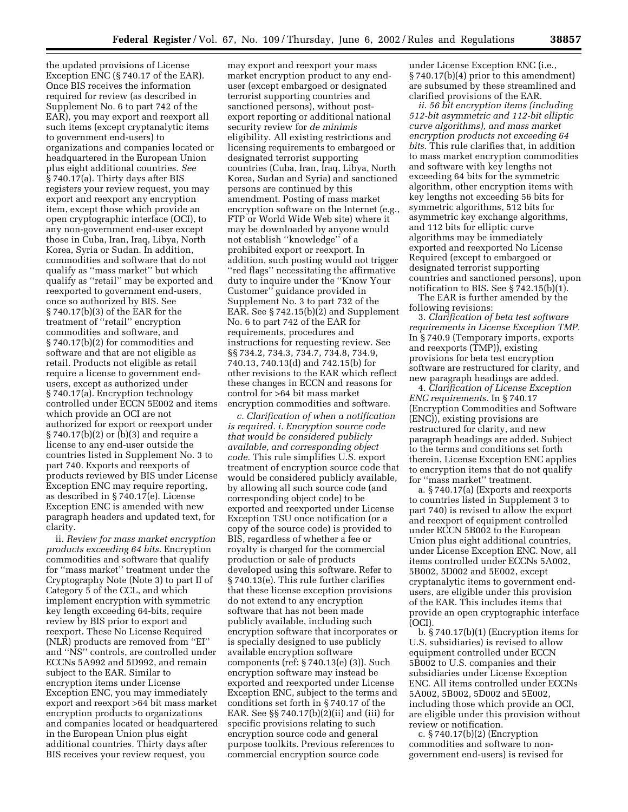the updated provisions of License Exception ENC (§ 740.17 of the EAR). Once BIS receives the information required for review (as described in Supplement No. 6 to part 742 of the EAR), you may export and reexport all such items (except cryptanalytic items to government end-users) to organizations and companies located or headquartered in the European Union plus eight additional countries. *See* § 740.17(a). Thirty days after BIS registers your review request, you may export and reexport any encryption item, except those which provide an open cryptographic interface (OCI), to any non-government end-user except those in Cuba, Iran, Iraq, Libya, North Korea, Syria or Sudan. In addition, commodities and software that do not qualify as ''mass market'' but which qualify as ''retail'' may be exported and reexported to government end-users, once so authorized by BIS. See § 740.17(b)(3) of the EAR for the treatment of ''retail'' encryption commodities and software, and § 740.17(b)(2) for commodities and software and that are not eligible as retail. Products not eligible as retail require a license to government endusers, except as authorized under § 740.17(a). Encryption technology controlled under ECCN 5E002 and items which provide an OCI are not authorized for export or reexport under § 740.17(b)(2) or (b)(3) and require a license to any end-user outside the countries listed in Supplement No. 3 to part 740. Exports and reexports of products reviewed by BIS under License Exception ENC may require reporting, as described in § 740.17(e). License Exception ENC is amended with new paragraph headers and updated text, for clarity.

ii. *Review for mass market encryption products exceeding 64 bits.* Encryption commodities and software that qualify for ''mass market'' treatment under the Cryptography Note (Note 3) to part II of Category 5 of the CCL, and which implement encryption with symmetric key length exceeding 64-bits, require review by BIS prior to export and reexport. These No License Required (NLR) products are removed from ''EI'' and ''NS'' controls, are controlled under ECCNs 5A992 and 5D992, and remain subject to the EAR. Similar to encryption items under License Exception ENC, you may immediately export and reexport >64 bit mass market encryption products to organizations and companies located or headquartered in the European Union plus eight additional countries. Thirty days after BIS receives your review request, you

may export and reexport your mass market encryption product to any enduser (except embargoed or designated terrorist supporting countries and sanctioned persons), without postexport reporting or additional national security review for *de minimis* eligibility. All existing restrictions and licensing requirements to embargoed or designated terrorist supporting countries (Cuba, Iran, Iraq, Libya, North Korea, Sudan and Syria) and sanctioned persons are continued by this amendment. Posting of mass market encryption software on the Internet (e.g., FTP or World Wide Web site) where it may be downloaded by anyone would not establish ''knowledge'' of a prohibited export or reexport. In addition, such posting would not trigger ''red flags'' necessitating the affirmative duty to inquire under the ''Know Your Customer'' guidance provided in Supplement No. 3 to part 732 of the EAR. See § 742.15(b)(2) and Supplement No. 6 to part 742 of the EAR for requirements, procedures and instructions for requesting review. See §§ 734.2, 734.3, 734.7, 734.8, 734.9, 740.13, 740.13(d) and 742.15(b) for other revisions to the EAR which reflect these changes in ECCN and reasons for control for >64 bit mass market encryption commodities and software.

*c. Clarification of when a notification is required. i. Encryption source code that would be considered publicly available, and corresponding object code.* This rule simplifies U.S. export treatment of encryption source code that would be considered publicly available, by allowing all such source code (and corresponding object code) to be exported and reexported under License Exception TSU once notification (or a copy of the source code) is provided to BIS, regardless of whether a fee or royalty is charged for the commercial production or sale of products developed using this software. Refer to § 740.13(e). This rule further clarifies that these license exception provisions do not extend to any encryption software that has not been made publicly available, including such encryption software that incorporates or is specially designed to use publicly available encryption software components (ref: § 740.13(e) (3)). Such encryption software may instead be exported and reexported under License Exception ENC, subject to the terms and conditions set forth in § 740.17 of the EAR. See §§ 740.17(b)(2)(ii) and (iii) for specific provisions relating to such encryption source code and general purpose toolkits. Previous references to commercial encryption source code

under License Exception ENC (i.e., § 740.17(b)(4) prior to this amendment) are subsumed by these streamlined and clarified provisions of the EAR.

*ii. 56 bit encryption items (including 512-bit asymmetric and 112-bit elliptic curve algorithms), and mass market encryption products not exceeding 64 bits.* This rule clarifies that, in addition to mass market encryption commodities and software with key lengths not exceeding 64 bits for the symmetric algorithm, other encryption items with key lengths not exceeding 56 bits for symmetric algorithms, 512 bits for asymmetric key exchange algorithms, and 112 bits for elliptic curve algorithms may be immediately exported and reexported No License Required (except to embargoed or designated terrorist supporting countries and sanctioned persons), upon notification to BIS. See § 742.15(b)(1).

The EAR is further amended by the following revisions:

3. *Clarification of beta test software requirements in License Exception TMP.* In § 740.9 (Temporary imports, exports and reexports (TMP)), existing provisions for beta test encryption software are restructured for clarity, and new paragraph headings are added.

4. *Clarification of License Exception ENC requirements.* In § 740.17 (Encryption Commodities and Software (ENC)), existing provisions are restructured for clarity, and new paragraph headings are added. Subject to the terms and conditions set forth therein, License Exception ENC applies to encryption items that do not qualify for ''mass market'' treatment.

a. § 740.17(a) (Exports and reexports to countries listed in Supplement 3 to part 740) is revised to allow the export and reexport of equipment controlled under ECCN 5B002 to the European Union plus eight additional countries, under License Exception ENC. Now, all items controlled under ECCNs 5A002, 5B002, 5D002 and 5E002, except cryptanalytic items to government endusers, are eligible under this provision of the EAR. This includes items that provide an open cryptographic interface (OCI).

b. § 740.17(b)(1) (Encryption items for U.S. subsidiaries) is revised to allow equipment controlled under ECCN 5B002 to U.S. companies and their subsidiaries under License Exception ENC. All items controlled under ECCNs 5A002, 5B002, 5D002 and 5E002, including those which provide an OCI, are eligible under this provision without review or notification.

c. § 740.17(b)(2) (Encryption commodities and software to nongovernment end-users) is revised for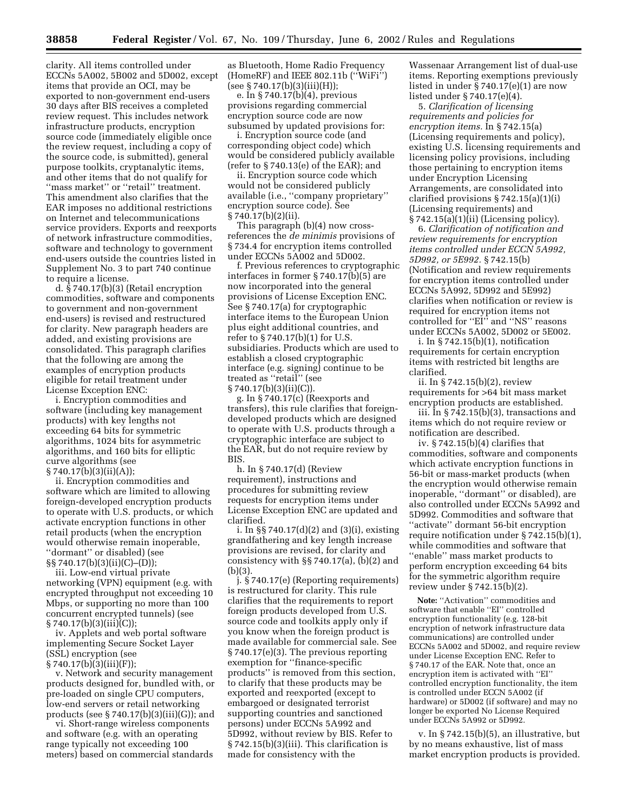clarity. All items controlled under ECCNs 5A002, 5B002 and 5D002, except items that provide an OCI, may be exported to non-government end-users 30 days after BIS receives a completed review request. This includes network infrastructure products, encryption source code (immediately eligible once the review request, including a copy of the source code, is submitted), general purpose toolkits, cryptanalytic items, and other items that do not qualify for ''mass market'' or ''retail'' treatment. This amendment also clarifies that the EAR imposes no additional restrictions on Internet and telecommunications service providers. Exports and reexports of network infrastructure commodities, software and technology to government end-users outside the countries listed in Supplement No. 3 to part 740 continue to require a license.

d. § 740.17(b)(3) (Retail encryption commodities, software and components to government and non-government end-users) is revised and restructured for clarity. New paragraph headers are added, and existing provisions are consolidated. This paragraph clarifies that the following are among the examples of encryption products eligible for retail treatment under License Exception ENC:

i. Encryption commodities and software (including key management products) with key lengths not exceeding 64 bits for symmetric algorithms, 1024 bits for asymmetric algorithms, and 160 bits for elliptic curve algorithms (see § 740.17(b)(3)(ii)(A));

ii. Encryption commodities and software which are limited to allowing foreign-developed encryption products to operate with U.S. products, or which activate encryption functions in other retail products (when the encryption would otherwise remain inoperable, ''dormant'' or disabled) (see §§ 740.17(b)(3)(ii)(C)–(D));

iii. Low-end virtual private networking (VPN) equipment (e.g. with encrypted throughput not exceeding 10 Mbps, or supporting no more than 100 concurrent encrypted tunnels) (see § 740.17(b)(3)(iii)(C));

iv. Applets and web portal software implementing Secure Socket Layer (SSL) encryption (see § 740.17(b)(3)(iii)(F));

v. Network and security management products designed for, bundled with, or pre-loaded on single CPU computers, low-end servers or retail networking products (see § 740.17(b)(3)(iii)(G)); and

vi. Short-range wireless components and software (e.g. with an operating range typically not exceeding 100 meters) based on commercial standards as Bluetooth, Home Radio Frequency (HomeRF) and IEEE 802.11b (''WiFi'')  $(see § 740.17(b)(3)(iii)(H));$ 

e. In § 740.17(b)(4), previous provisions regarding commercial encryption source code are now subsumed by updated provisions for:

i. Encryption source code (and corresponding object code) which would be considered publicly available (refer to § 740.13(e) of the EAR); and

ii. Encryption source code which would not be considered publicly available (i.e., ''company proprietary'' encryption source code). See § 740.17(b)(2)(ii).

This paragraph (b)(4) now crossreferences the *de minimis* provisions of § 734.4 for encryption items controlled under ECCNs 5A002 and 5D002.

f. Previous references to cryptographic interfaces in former § 740.17(b)(5) are now incorporated into the general provisions of License Exception ENC. See § 740.17(a) for cryptographic interface items to the European Union plus eight additional countries, and refer to § 740.17(b)(1) for U.S. subsidiaries. Products which are used to establish a closed cryptographic interface (e.g. signing) continue to be treated as ''retail'' (see § 740.17(b)(3)(ii)(C)).

g. In § 740.17(c) (Reexports and transfers), this rule clarifies that foreigndeveloped products which are designed to operate with U.S. products through a cryptographic interface are subject to the EAR, but do not require review by BIS.

h. In § 740.17(d) (Review requirement), instructions and procedures for submitting review requests for encryption items under License Exception ENC are updated and clarified.

i. In §§ 740.17(d)(2) and (3)(i), existing grandfathering and key length increase provisions are revised, for clarity and consistency with §§ 740.17(a), (b)(2) and (b)(3).

j. § 740.17(e) (Reporting requirements) is restructured for clarity. This rule clarifies that the requirements to report foreign products developed from U.S. source code and toolkits apply only if you know when the foreign product is made available for commercial sale. See § 740.17(e)(3). The previous reporting exemption for ''finance-specific products'' is removed from this section, to clarify that these products may be exported and reexported (except to embargoed or designated terrorist supporting countries and sanctioned persons) under ECCNs 5A992 and 5D992, without review by BIS. Refer to § 742.15(b)(3)(iii). This clarification is made for consistency with the

Wassenaar Arrangement list of dual-use items. Reporting exemptions previously listed in under § 740.17(e)(1) are now listed under § 740.17(e)(4).

5. *Clarification of licensing requirements and policies for encryption items.* In § 742.15(a) (Licensing requirements and policy), existing U.S. licensing requirements and licensing policy provisions, including those pertaining to encryption items under Encryption Licensing Arrangements, are consolidated into clarified provisions § 742.15(a)(1)(i) (Licensing requirements) and § 742.15(a)(1)(ii) (Licensing policy).

6. *Clarification of notification and review requirements for encryption items controlled under ECCN 5A992, 5D992, or 5E992.* § 742.15(b) (Notification and review requirements for encryption items controlled under ECCNs 5A992, 5D992 and 5E992) clarifies when notification or review is required for encryption items not controlled for ''EI'' and ''NS'' reasons under ECCNs 5A002, 5D002 or 5E002.

i. In  $\S 742.15(b)(1)$ , notification requirements for certain encryption items with restricted bit lengths are clarified.

ii. In § 742.15(b)(2), review requirements for >64 bit mass market encryption products are established.

iii. In § 742.15(b)(3), transactions and items which do not require review or notification are described.

iv. § 742.15(b)(4) clarifies that commodities, software and components which activate encryption functions in 56-bit or mass-market products (when the encryption would otherwise remain inoperable, ''dormant'' or disabled), are also controlled under ECCNs 5A992 and 5D992. Commodities and software that ''activate'' dormant 56-bit encryption require notification under § 742.15(b)(1), while commodities and software that ''enable'' mass market products to perform encryption exceeding 64 bits for the symmetric algorithm require review under § 742.15(b)(2).

Note: "Activation" commodities and software that enable ''EI'' controlled encryption functionality (e.g. 128-bit encryption of network infrastructure data communications) are controlled under ECCNs 5A002 and 5D002, and require review under License Exception ENC. Refer to § 740.17 of the EAR. Note that, once an encryption item is activated with ''EI'' controlled encryption functionality, the item is controlled under ECCN 5A002 (if hardware) or 5D002 (if software) and may no longer be exported No License Required under ECCNs 5A992 or 5D992.

v. In § 742.15(b)(5), an illustrative, but by no means exhaustive, list of mass market encryption products is provided.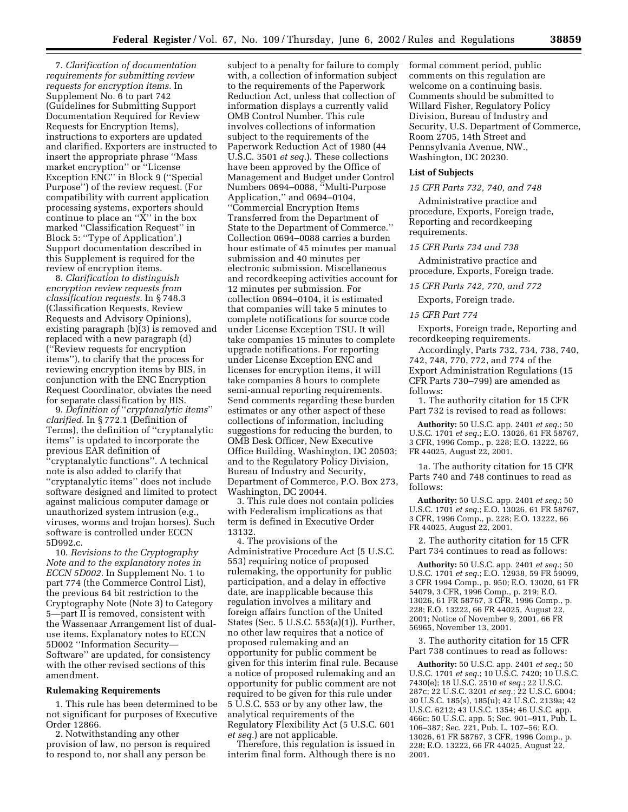7. *Clarification of documentation requirements for submitting review requests for encryption items.* In Supplement No. 6 to part 742 (Guidelines for Submitting Support Documentation Required for Review Requests for Encryption Items), instructions to exporters are updated and clarified. Exporters are instructed to insert the appropriate phrase ''Mass market encryption'' or ''License Exception ENC'' in Block 9 (''Special Purpose'') of the review request. (For compatibility with current application processing systems, exporters should continue to place an ''X'' in the box marked ''Classification Request'' in Block 5: ''Type of Application'.) Support documentation described in this Supplement is required for the review of encryption items.

8. *Clarification to distinguish encryption review requests from classification requests.* In § 748.3 (Classification Requests, Review Requests and Advisory Opinions), existing paragraph (b)(3) is removed and replaced with a new paragraph (d) (''Review requests for encryption items''), to clarify that the process for reviewing encryption items by BIS, in conjunction with the ENC Encryption Request Coordinator, obviates the need for separate classification by BIS.

9. *Definition of* ''*cryptanalytic items*'' *clarified.* In § 772.1 (Definition of Terms), the definition of ''cryptanalytic items'' is updated to incorporate the previous EAR definition of ''cryptanalytic functions''. A technical note is also added to clarify that ''cryptanalytic items'' does not include software designed and limited to protect against malicious computer damage or unauthorized system intrusion (e.g., viruses, worms and trojan horses). Such software is controlled under ECCN 5D992.c.

10. *Revisions to the Cryptography Note and to the explanatory notes in ECCN 5D002.* In Supplement No. 1 to part 774 (the Commerce Control List), the previous 64 bit restriction to the Cryptography Note (Note 3) to Category 5—part II is removed, consistent with the Wassenaar Arrangement list of dualuse items. Explanatory notes to ECCN 5D002 ''Information Security— Software'' are updated, for consistency with the other revised sections of this amendment.

#### **Rulemaking Requirements**

1. This rule has been determined to be not significant for purposes of Executive Order 12866.

2. Notwithstanding any other provision of law, no person is required to respond to, nor shall any person be

subject to a penalty for failure to comply with, a collection of information subject to the requirements of the Paperwork Reduction Act, unless that collection of information displays a currently valid OMB Control Number. This rule involves collections of information subject to the requirements of the Paperwork Reduction Act of 1980 (44 U.S.C. 3501 *et seq.*). These collections have been approved by the Office of Management and Budget under Control Numbers 0694–0088, ''Multi-Purpose Application,'' and 0694–0104, ''Commercial Encryption Items Transferred from the Department of State to the Department of Commerce.'' Collection 0694–0088 carries a burden hour estimate of 45 minutes per manual submission and 40 minutes per electronic submission. Miscellaneous and recordkeeping activities account for 12 minutes per submission. For collection 0694–0104, it is estimated that companies will take 5 minutes to complete notifications for source code under License Exception TSU. It will take companies 15 minutes to complete upgrade notifications. For reporting under License Exception ENC and licenses for encryption items, it will take companies 8 hours to complete semi-annual reporting requirements. Send comments regarding these burden estimates or any other aspect of these collections of information, including suggestions for reducing the burden, to OMB Desk Officer, New Executive Office Building, Washington, DC 20503; and to the Regulatory Policy Division, Bureau of Industry and Security, Department of Commerce, P.O. Box 273, Washington, DC 20044.

3. This rule does not contain policies with Federalism implications as that term is defined in Executive Order 13132.

4. The provisions of the Administrative Procedure Act (5 U.S.C. 553) requiring notice of proposed rulemaking, the opportunity for public participation, and a delay in effective date, are inapplicable because this regulation involves a military and foreign affairs function of the United States (Sec. 5 U.S.C. 553(a)(1)). Further, no other law requires that a notice of proposed rulemaking and an opportunity for public comment be given for this interim final rule. Because a notice of proposed rulemaking and an opportunity for public comment are not required to be given for this rule under 5 U.S.C. 553 or by any other law, the analytical requirements of the Regulatory Flexibility Act (5 U.S.C. 601 *et seq.*) are not applicable.

Therefore, this regulation is issued in interim final form. Although there is no formal comment period, public comments on this regulation are welcome on a continuing basis. Comments should be submitted to Willard Fisher, Regulatory Policy Division, Bureau of Industry and Security, U.S. Department of Commerce, Room 2705, 14th Street and Pennsylvania Avenue, NW., Washington, DC 20230.

## **List of Subjects**

# *15 CFR Parts 732, 740, and 748*

Administrative practice and procedure, Exports, Foreign trade, Reporting and recordkeeping requirements.

#### *15 CFR Parts 734 and 738*

Administrative practice and procedure, Exports, Foreign trade.

*15 CFR Parts 742, 770, and 772*

Exports, Foreign trade.

## *15 CFR Part 774*

Exports, Foreign trade, Reporting and recordkeeping requirements.

Accordingly, Parts 732, 734, 738, 740, 742, 748, 770, 772, and 774 of the Export Administration Regulations (15 CFR Parts 730–799) are amended as follows:

1. The authority citation for 15 CFR Part 732 is revised to read as follows:

**Authority:** 50 U.S.C. app. 2401 *et seq.*; 50 U.S.C. 1701 *et seq.*; E.O. 13026, 61 FR 58767, 3 CFR, 1996 Comp., p. 228; E.O. 13222, 66 FR 44025, August 22, 2001.

1a. The authority citation for 15 CFR Parts 740 and 748 continues to read as follows:

**Authority:** 50 U.S.C. app. 2401 *et seq.*; 50 U.S.C. 1701 *et seq.*; E.O. 13026, 61 FR 58767, 3 CFR, 1996 Comp., p. 228; E.O. 13222, 66 FR 44025, August 22, 2001.

2. The authority citation for 15 CFR Part 734 continues to read as follows:

**Authority:** 50 U.S.C. app. 2401 *et seq.*; 50 U.S.C. 1701 *et seq.*; E.O. 12938, 59 FR 59099, 3 CFR 1994 Comp., p. 950; E.O. 13020, 61 FR 54079, 3 CFR, 1996 Comp., p. 219; E.O. 13026, 61 FR 58767, 3 CFR, 1996 Comp., p. 228; E.O. 13222, 66 FR 44025, August 22, 2001; Notice of November 9, 2001, 66 FR 56965, November 13, 2001.

3. The authority citation for 15 CFR Part 738 continues to read as follows:

**Authority:** 50 U.S.C. app. 2401 *et seq.*; 50 U.S.C. 1701 *et seq.*; 10 U.S.C. 7420; 10 U.S.C. 7430(e); 18 U.S.C. 2510 *et seq.*; 22 U.S.C. 287c; 22 U.S.C. 3201 *et seq.*; 22 U.S.C. 6004; 30 U.S.C. 185(s), 185(u); 42 U.S.C. 2139a; 42 U.S.C. 6212; 43 U.S.C. 1354; 46 U.S.C. app. 466c; 50 U.S.C. app. 5; Sec. 901–911, Pub. L. 106–387; Sec. 221, Pub. L. 107–56; E.O. 13026, 61 FR 58767, 3 CFR, 1996 Comp., p. 228; E.O. 13222, 66 FR 44025, August 22, 2001.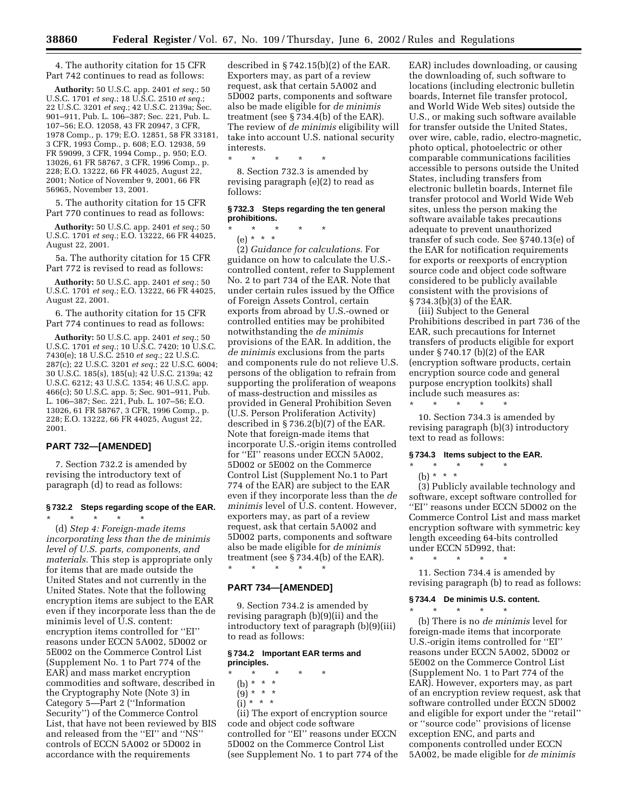4. The authority citation for 15 CFR Part 742 continues to read as follows:

**Authority:** 50 U.S.C. app. 2401 *et seq.*; 50 U.S.C. 1701 *et seq.*; 18 U.S.C. 2510 *et seq.*; 22 U.S.C. 3201 *et seq.*; 42 U.S.C. 2139a; Sec. 901–911, Pub. L. 106–387; Sec. 221, Pub. L. 107–56; E.O. 12058, 43 FR 20947, 3 CFR, 1978 Comp., p. 179; E.O. 12851, 58 FR 33181, 3 CFR, 1993 Comp., p. 608; E.O. 12938, 59 FR 59099, 3 CFR, 1994 Comp., p. 950; E.O. 13026, 61 FR 58767, 3 CFR, 1996 Comp., p. 228; E.O. 13222, 66 FR 44025, August 22, 2001; Notice of November 9, 2001, 66 FR 56965, November 13, 2001.

5. The authority citation for 15 CFR Part 770 continues to read as follows:

**Authority:** 50 U.S.C. app. 2401 *et seq.*; 50 U.S.C. 1701 *et seq.*; E.O. 13222, 66 FR 44025, August 22, 2001.

5a. The authority citation for 15 CFR Part 772 is revised to read as follows:

**Authority:** 50 U.S.C. app. 2401 *et seq.*; 50 U.S.C. 1701 *et seq.*; E.O. 13222, 66 FR 44025, August 22, 2001.

6. The authority citation for 15 CFR Part 774 continues to read as follows:

**Authority:** 50 U.S.C. app. 2401 *et seq.*; 50 U.S.C. 1701 *et seq.*; 10 U.S.C. 7420; 10 U.S.C. 7430(e); 18 U.S.C. 2510 *et seq.*; 22 U.S.C. 287(c); 22 U.S.C. 3201 *et seq.*; 22 U.S.C. 6004; 30 U.S.C. 185(s), 185(u); 42 U.S.C. 2139a; 42 U.S.C. 6212; 43 U.S.C. 1354; 46 U.S.C. app. 466(c); 50 U.S.C. app. 5; Sec. 901–911, Pub. L. 106-387; Sec. 221, Pub. L. 107-56; E.O. 13026, 61 FR 58767, 3 CFR, 1996 Comp., p. 228; E.O. 13222, 66 FR 44025, August 22, 2001.

# **PART 732—[AMENDED]**

7. Section 732.2 is amended by revising the introductory text of paragraph (d) to read as follows:

#### **§ 732.2 Steps regarding scope of the EAR.**

\* \* \* \* \* (d) *Step 4: Foreign-made items incorporating less than the de minimis level of U.S. parts, components, and materials.* This step is appropriate only for items that are made outside the United States and not currently in the United States. Note that the following encryption items are subject to the EAR even if they incorporate less than the de minimis level of U.S. content: encryption items controlled for ''EI'' reasons under ECCN 5A002, 5D002 or 5E002 on the Commerce Control List (Supplement No. 1 to Part 774 of the EAR) and mass market encryption commodities and software, described in the Cryptography Note (Note 3) in Category 5—Part 2 (''Information Security'') of the Commerce Control List, that have not been reviewed by BIS and released from the ''EI'' and ''NS'' controls of ECCN 5A002 or 5D002 in accordance with the requirements

described in § 742.15(b)(2) of the EAR. Exporters may, as part of a review request, ask that certain 5A002 and 5D002 parts, components and software also be made eligible for *de minimis* treatment (see § 734.4(b) of the EAR). The review of *de minimis* eligibility will take into account U.S. national security interests.

\* \* \* \* \* 8. Section 732.3 is amended by revising paragraph (e)(2) to read as follows:

## **§ 732.3 Steps regarding the ten general prohibitions.**

\* \* \* \* \* (e) \* \* \*

(2) *Guidance for calculations.* For guidance on how to calculate the U.S. controlled content, refer to Supplement No. 2 to part 734 of the EAR. Note that under certain rules issued by the Office of Foreign Assets Control, certain exports from abroad by U.S.-owned or controlled entities may be prohibited notwithstanding the *de minimis* provisions of the EAR. In addition, the *de minimis* exclusions from the parts and components rule do not relieve U.S. persons of the obligation to refrain from supporting the proliferation of weapons of mass-destruction and missiles as provided in General Prohibition Seven (U.S. Person Proliferation Activity) described in § 736.2(b)(7) of the EAR. Note that foreign-made items that incorporate U.S.-origin items controlled for ''EI'' reasons under ECCN 5A002, 5D002 or 5E002 on the Commerce Control List (Supplement No.1 to Part 774 of the EAR) are subject to the EAR even if they incorporate less than the *de minimis* level of U.S. content. However, exporters may, as part of a review request, ask that certain 5A002 and 5D002 parts, components and software also be made eligible for *de minimis* treatment (see § 734.4(b) of the EAR). \* \* \* \* \*

## **PART 734—[AMENDED]**

9. Section 734.2 is amended by revising paragraph (b)(9)(ii) and the introductory text of paragraph (b)(9)(iii) to read as follows:

## **§ 734.2 Important EAR terms and principles.**

- \* \* \* \* \*
	- (b) \* \* \*
	- (9) \* \* \*
	- $(i) * * * *$

(ii) The export of encryption source code and object code software controlled for ''EI'' reasons under ECCN 5D002 on the Commerce Control List (see Supplement No. 1 to part 774 of the EAR) includes downloading, or causing the downloading of, such software to locations (including electronic bulletin boards, Internet file transfer protocol, and World Wide Web sites) outside the U.S., or making such software available for transfer outside the United States, over wire, cable, radio, electro-magnetic, photo optical, photoelectric or other comparable communications facilities accessible to persons outside the United States, including transfers from electronic bulletin boards, Internet file transfer protocol and World Wide Web sites, unless the person making the software available takes precautions adequate to prevent unauthorized transfer of such code. See §740.13(e) of the EAR for notification requirements for exports or reexports of encryption source code and object code software considered to be publicly available consistent with the provisions of § 734.3(b)(3) of the EAR.

(iii) Subject to the General Prohibitions described in part 736 of the EAR, such precautions for Internet transfers of products eligible for export under § 740.17 (b)(2) of the EAR (encryption software products, certain encryption source code and general purpose encryption toolkits) shall include such measures as:

10. Section 734.3 is amended by revising paragraph (b)(3) introductory text to read as follows:

#### **§ 734.3 Items subject to the EAR.**

\* \* \* \* \*

\* \* \* \* \* (b) \* \* \*

\* \* \* \* \*

(3) Publicly available technology and software, except software controlled for ''EI'' reasons under ECCN 5D002 on the Commerce Control List and mass market encryption software with symmetric key length exceeding 64-bits controlled under ECCN 5D992, that:

11. Section 734.4 is amended by revising paragraph (b) to read as follows:

### **§ 734.4 De minimis U.S. content.**

\* \* \* \* \*

(b) There is no *de minimis* level for foreign-made items that incorporate U.S.-origin items controlled for ''EI'' reasons under ECCN 5A002, 5D002 or 5E002 on the Commerce Control List (Supplement No. 1 to Part 774 of the EAR). However, exporters may, as part of an encryption review request, ask that software controlled under ECCN 5D002 and eligible for export under the ''retail'' or ''source code'' provisions of license exception ENC, and parts and components controlled under ECCN 5A002, be made eligible for *de minimis*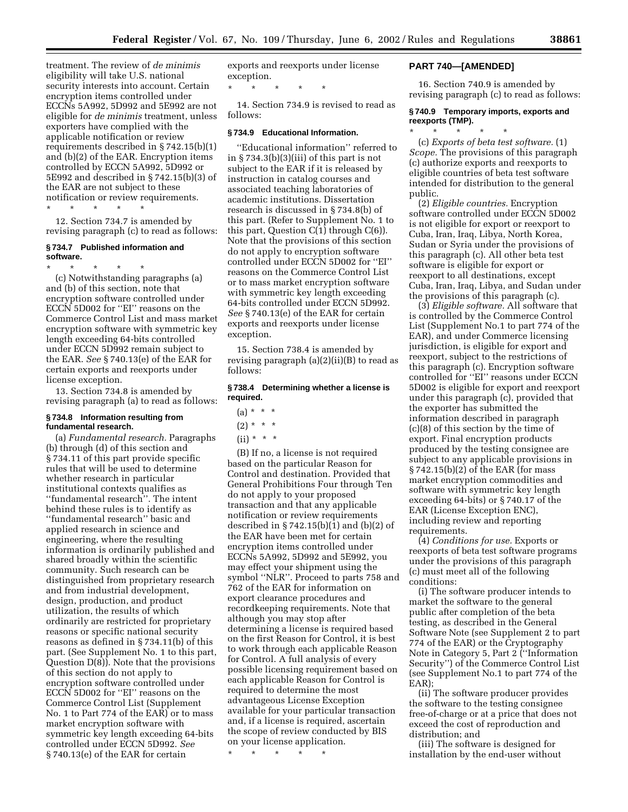treatment. The review of *de minimis* eligibility will take U.S. national security interests into account. Certain encryption items controlled under ECCNs 5A992, 5D992 and 5E992 are not eligible for *de minimis* treatment, unless exporters have complied with the applicable notification or review requirements described in § 742.15(b)(1) and (b)(2) of the EAR. Encryption items controlled by ECCN 5A992, 5D992 or 5E992 and described in § 742.15(b)(3) of the EAR are not subject to these notification or review requirements.

\* \* \* \* \*

12. Section 734.7 is amended by revising paragraph (c) to read as follows:

## **§ 734.7 Published information and software.**

\* \* \* \* \* (c) Notwithstanding paragraphs (a) and (b) of this section, note that encryption software controlled under ECCN 5D002 for ''EI'' reasons on the Commerce Control List and mass market encryption software with symmetric key length exceeding 64-bits controlled under ECCN 5D992 remain subject to the EAR. *See* § 740.13(e) of the EAR for certain exports and reexports under license exception.

13. Section 734.8 is amended by revising paragraph (a) to read as follows:

## **§ 734.8 Information resulting from fundamental research.**

(a) *Fundamental research.* Paragraphs (b) through (d) of this section and § 734.11 of this part provide specific rules that will be used to determine whether research in particular institutional contexts qualifies as ''fundamental research''. The intent behind these rules is to identify as ''fundamental research'' basic and applied research in science and engineering, where the resulting information is ordinarily published and shared broadly within the scientific community. Such research can be distinguished from proprietary research and from industrial development, design, production, and product utilization, the results of which ordinarily are restricted for proprietary reasons or specific national security reasons as defined in § 734.11(b) of this part. (See Supplement No. 1 to this part, Question D(8)). Note that the provisions of this section do not apply to encryption software controlled under ECCN 5D002 for ''EI'' reasons on the Commerce Control List (Supplement No. 1 to Part 774 of the EAR) or to mass market encryption software with symmetric key length exceeding 64-bits controlled under ECCN 5D992. *See* § 740.13(e) of the EAR for certain

exports and reexports under license exception.

\* \* \* \* \*

14. Section 734.9 is revised to read as follows:

## **§ 734.9 Educational Information.**

''Educational information'' referred to in § 734.3(b)(3)(iii) of this part is not subject to the EAR if it is released by instruction in catalog courses and associated teaching laboratories of academic institutions. Dissertation research is discussed in § 734.8(b) of this part. (Refer to Supplement No. 1 to this part, Question  $C(1)$  through  $C(6)$ ). Note that the provisions of this section do not apply to encryption software controlled under ECCN 5D002 for ''EI'' reasons on the Commerce Control List or to mass market encryption software with symmetric key length exceeding 64-bits controlled under ECCN 5D992. *See* § 740.13(e) of the EAR for certain exports and reexports under license exception.

15. Section 738.4 is amended by revising paragraph  $(a)(2)(ii)(B)$  to read as follows:

## **§ 738.4 Determining whether a license is required.**

- $(a) * * * *$
- $(2) * * * *$
- $(ii) * * * *$

(B) If no, a license is not required based on the particular Reason for Control and destination. Provided that General Prohibitions Four through Ten do not apply to your proposed transaction and that any applicable notification or review requirements described in  $\S 742.15(b)(1)$  and  $(b)(2)$  of the EAR have been met for certain encryption items controlled under ECCNs 5A992, 5D992 and 5E992, you may effect your shipment using the symbol ''NLR''. Proceed to parts 758 and 762 of the EAR for information on export clearance procedures and recordkeeping requirements. Note that although you may stop after determining a license is required based on the first Reason for Control, it is best to work through each applicable Reason for Control. A full analysis of every possible licensing requirement based on each applicable Reason for Control is required to determine the most advantageous License Exception available for your particular transaction and, if a license is required, ascertain the scope of review conducted by BIS on your license application.

\* \* \* \* \*

#### **PART 740—[AMENDED]**

16. Section 740.9 is amended by revising paragraph (c) to read as follows:

## **§ 740.9 Temporary imports, exports and reexports (TMP).**

\* \* \* \* \* (c) *Exports of beta test software.* (1) *Scope.* The provisions of this paragraph (c) authorize exports and reexports to eligible countries of beta test software intended for distribution to the general public.

(2) *Eligible countries.* Encryption software controlled under ECCN 5D002 is not eligible for export or reexport to Cuba, Iran, Iraq, Libya, North Korea, Sudan or Syria under the provisions of this paragraph (c). All other beta test software is eligible for export or reexport to all destinations, except Cuba, Iran, Iraq, Libya, and Sudan under the provisions of this paragraph (c).

(3) *Eligible software.* All software that is controlled by the Commerce Control List (Supplement No.1 to part 774 of the EAR), and under Commerce licensing jurisdiction, is eligible for export and reexport, subject to the restrictions of this paragraph (c). Encryption software controlled for ''EI'' reasons under ECCN 5D002 is eligible for export and reexport under this paragraph (c), provided that the exporter has submitted the information described in paragraph (c)(8) of this section by the time of export. Final encryption products produced by the testing consignee are subject to any applicable provisions in § 742.15(b)(2) of the EAR (for mass market encryption commodities and software with symmetric key length exceeding 64-bits) or § 740.17 of the EAR (License Exception ENC), including review and reporting requirements.

(4) *Conditions for use.* Exports or reexports of beta test software programs under the provisions of this paragraph (c) must meet all of the following conditions:

(i) The software producer intends to market the software to the general public after completion of the beta testing, as described in the General Software Note (see Supplement 2 to part 774 of the EAR) or the Cryptography Note in Category 5, Part 2 (''Information Security'') of the Commerce Control List (see Supplement No.1 to part 774 of the EAR);

(ii) The software producer provides the software to the testing consignee free-of-charge or at a price that does not exceed the cost of reproduction and distribution; and

(iii) The software is designed for installation by the end-user without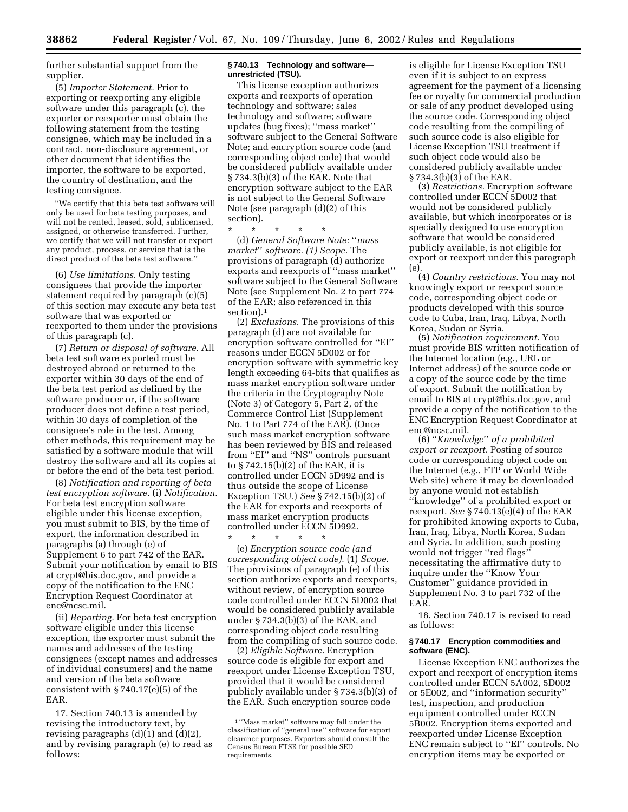further substantial support from the supplier.

(5) *Importer Statement.* Prior to exporting or reexporting any eligible software under this paragraph (c), the exporter or reexporter must obtain the following statement from the testing consignee, which may be included in a contract, non-disclosure agreement, or other document that identifies the importer, the software to be exported, the country of destination, and the testing consignee.

''We certify that this beta test software will only be used for beta testing purposes, and will not be rented, leased, sold, sublicensed, assigned, or otherwise transferred. Further, we certify that we will not transfer or export any product, process, or service that is the direct product of the beta test software.''

(6) *Use limitations.* Only testing consignees that provide the importer statement required by paragraph (c)(5) of this section may execute any beta test software that was exported or reexported to them under the provisions of this paragraph (c).

(7) *Return or disposal of software.* All beta test software exported must be destroyed abroad or returned to the exporter within 30 days of the end of the beta test period as defined by the software producer or, if the software producer does not define a test period, within 30 days of completion of the consignee's role in the test. Among other methods, this requirement may be satisfied by a software module that will destroy the software and all its copies at or before the end of the beta test period.

(8) *Notification and reporting of beta test encryption software.* (i) *Notification.* For beta test encryption software eligible under this license exception, you must submit to BIS, by the time of export, the information described in paragraphs (a) through (e) of Supplement 6 to part 742 of the EAR. Submit your notification by email to BIS at crypt@bis.doc.gov, and provide a copy of the notification to the ENC Encryption Request Coordinator at enc@ncsc.mil.

(ii) *Reporting.* For beta test encryption software eligible under this license exception, the exporter must submit the names and addresses of the testing consignees (except names and addresses of individual consumers) and the name and version of the beta software consistent with § 740.17(e)(5) of the EAR.

17. Section 740.13 is amended by revising the introductory text, by revising paragraphs (d)(1) and (d)(2), and by revising paragraph (e) to read as follows:

#### **§ 740.13 Technology and software unrestricted (TSU).**

This license exception authorizes exports and reexports of operation technology and software; sales technology and software; software updates (bug fixes); ''mass market'' software subject to the General Software Note; and encryption source code (and corresponding object code) that would be considered publicly available under § 734.3(b)(3) of the EAR. Note that encryption software subject to the EAR is not subject to the General Software Note (see paragraph (d)(2) of this section).

\* \* \* \* \*

(d) *General Software Note:* ''*mass market*'' *software. (1) Scope.* The provisions of paragraph (d) authorize exports and reexports of ''mass market'' software subject to the General Software Note (see Supplement No. 2 to part 774 of the EAR; also referenced in this section).1

(2) *Exclusions.* The provisions of this paragraph (d) are not available for encryption software controlled for ''EI'' reasons under ECCN 5D002 or for encryption software with symmetric key length exceeding 64-bits that qualifies as mass market encryption software under the criteria in the Cryptography Note (Note 3) of Category 5, Part 2, of the Commerce Control List (Supplement No. 1 to Part 774 of the EAR). (Once such mass market encryption software has been reviewed by BIS and released from "EI" and "NS" controls pursuant to § 742.15(b)(2) of the EAR, it is controlled under ECCN 5D992 and is thus outside the scope of License Exception TSU.) *See* § 742.15(b)(2) of the EAR for exports and reexports of mass market encryption products controlled under ECCN 5D992.

\* \* \* \* \* (e) *Encryption source code (and corresponding object code).* (1) *Scope.* The provisions of paragraph (e) of this section authorize exports and reexports, without review, of encryption source code controlled under ECCN 5D002 that would be considered publicly available under § 734.3(b)(3) of the EAR, and corresponding object code resulting from the compiling of such source code.

(2) *Eligible Software.* Encryption source code is eligible for export and reexport under License Exception TSU, provided that it would be considered publicly available under § 734.3(b)(3) of the EAR. Such encryption source code

is eligible for License Exception TSU even if it is subject to an express agreement for the payment of a licensing fee or royalty for commercial production or sale of any product developed using the source code. Corresponding object code resulting from the compiling of such source code is also eligible for License Exception TSU treatment if such object code would also be considered publicly available under § 734.3(b)(3) of the EAR.

(3) *Restrictions.* Encryption software controlled under ECCN 5D002 that would not be considered publicly available, but which incorporates or is specially designed to use encryption software that would be considered publicly available, is not eligible for export or reexport under this paragraph (e).

(4) *Country restrictions.* You may not knowingly export or reexport source code, corresponding object code or products developed with this source code to Cuba, Iran, Iraq, Libya, North Korea, Sudan or Syria.

(5) *Notification requirement.* You must provide BIS written notification of the Internet location (e.g., URL or Internet address) of the source code or a copy of the source code by the time of export. Submit the notification by email to BIS at crypt@bis.doc.gov, and provide a copy of the notification to the ENC Encryption Request Coordinator at enc@ncsc.mil.

(6) ''*Knowledge*'' *of a prohibited export or reexport.* Posting of source code or corresponding object code on the Internet (e.g., FTP or World Wide Web site) where it may be downloaded by anyone would not establish ''knowledge'' of a prohibited export or reexport. *See* § 740.13(e)(4) of the EAR for prohibited knowing exports to Cuba, Iran, Iraq, Libya, North Korea, Sudan and Syria. In addition, such posting would not trigger ''red flags'' necessitating the affirmative duty to inquire under the ''Know Your Customer'' guidance provided in Supplement No. 3 to part 732 of the EAR.

18. Section 740.17 is revised to read as follows:

#### **§ 740.17 Encryption commodities and software (ENC).**

License Exception ENC authorizes the export and reexport of encryption items controlled under ECCN 5A002, 5D002 or 5E002, and ''information security'' test, inspection, and production equipment controlled under ECCN 5B002. Encryption items exported and reexported under License Exception ENC remain subject to ''EI'' controls. No encryption items may be exported or

<sup>1</sup> ''Mass market'' software may fall under the classification of ''general use'' software for export clearance purposes. Exporters should consult the Census Bureau FTSR for possible SED requirements.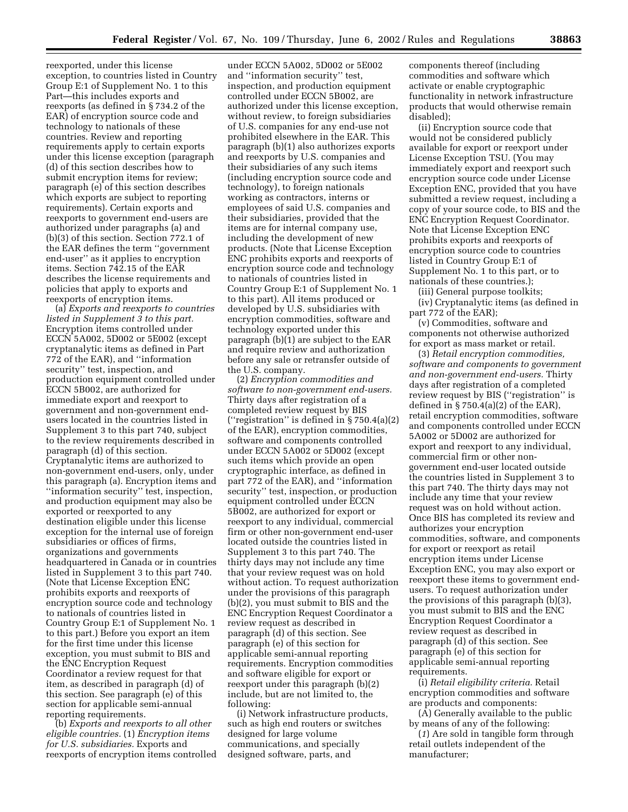reexported, under this license exception, to countries listed in Country Group E:1 of Supplement No. 1 to this Part—this includes exports and reexports (as defined in § 734.2 of the EAR) of encryption source code and technology to nationals of these countries. Review and reporting requirements apply to certain exports under this license exception (paragraph (d) of this section describes how to submit encryption items for review; paragraph (e) of this section describes which exports are subject to reporting requirements). Certain exports and reexports to government end-users are authorized under paragraphs (a) and (b)(3) of this section. Section 772.1 of the EAR defines the term ''government end-user'' as it applies to encryption items. Section 742.15 of the EAR describes the license requirements and policies that apply to exports and reexports of encryption items.

(a) *Exports and reexports to countries listed in Supplement 3 to this part.* Encryption items controlled under ECCN 5A002, 5D002 or 5E002 (except cryptanalytic items as defined in Part 772 of the EAR), and ''information security'' test, inspection, and production equipment controlled under ECCN 5B002, are authorized for immediate export and reexport to government and non-government endusers located in the countries listed in Supplement 3 to this part 740, subject to the review requirements described in paragraph (d) of this section. Cryptanalytic items are authorized to non-government end-users, only, under this paragraph (a). Encryption items and ''information security'' test, inspection, and production equipment may also be exported or reexported to any destination eligible under this license exception for the internal use of foreign subsidiaries or offices of firms, organizations and governments headquartered in Canada or in countries listed in Supplement 3 to this part 740. (Note that License Exception ENC prohibits exports and reexports of encryption source code and technology to nationals of countries listed in Country Group E:1 of Supplement No. 1 to this part.) Before you export an item for the first time under this license exception, you must submit to BIS and the ENC Encryption Request Coordinator a review request for that item, as described in paragraph (d) of this section. See paragraph (e) of this section for applicable semi-annual reporting requirements.

(b) *Exports and reexports to all other eligible countries.* (1) *Encryption items for U.S. subsidiaries.* Exports and reexports of encryption items controlled

under ECCN 5A002, 5D002 or 5E002 and ''information security'' test, inspection, and production equipment controlled under ECCN 5B002, are authorized under this license exception, without review, to foreign subsidiaries of U.S. companies for any end-use not prohibited elsewhere in the EAR. This paragraph (b)(1) also authorizes exports and reexports by U.S. companies and their subsidiaries of any such items (including encryption source code and technology), to foreign nationals working as contractors, interns or employees of said U.S. companies and their subsidiaries, provided that the items are for internal company use, including the development of new products. (Note that License Exception ENC prohibits exports and reexports of encryption source code and technology to nationals of countries listed in Country Group E:1 of Supplement No. 1 to this part). All items produced or developed by U.S. subsidiaries with encryption commodities, software and technology exported under this paragraph (b)(1) are subject to the EAR and require review and authorization before any sale or retransfer outside of the U.S. company.

(2) *Encryption commodities and software to non-government end-users.* Thirty days after registration of a completed review request by BIS (''registration'' is defined in § 750.4(a)(2) of the EAR), encryption commodities, software and components controlled under ECCN 5A002 or 5D002 (except such items which provide an open cryptographic interface, as defined in part 772 of the EAR), and ''information security'' test, inspection, or production equipment controlled under ECCN 5B002, are authorized for export or reexport to any individual, commercial firm or other non-government end-user located outside the countries listed in Supplement 3 to this part 740. The thirty days may not include any time that your review request was on hold without action. To request authorization under the provisions of this paragraph (b)(2), you must submit to BIS and the ENC Encryption Request Coordinator a review request as described in paragraph (d) of this section. See paragraph (e) of this section for applicable semi-annual reporting requirements. Encryption commodities and software eligible for export or reexport under this paragraph (b)(2) include, but are not limited to, the following:

(i) Network infrastructure products, such as high end routers or switches designed for large volume communications, and specially designed software, parts, and

components thereof (including commodities and software which activate or enable cryptographic functionality in network infrastructure products that would otherwise remain disabled);

(ii) Encryption source code that would not be considered publicly available for export or reexport under License Exception TSU. (You may immediately export and reexport such encryption source code under License Exception ENC, provided that you have submitted a review request, including a copy of your source code, to BIS and the ENC Encryption Request Coordinator. Note that License Exception ENC prohibits exports and reexports of encryption source code to countries listed in Country Group E:1 of Supplement No. 1 to this part, or to nationals of these countries.);

(iii) General purpose toolkits;

(iv) Cryptanalytic items (as defined in part 772 of the EAR);

(v) Commodities, software and components not otherwise authorized for export as mass market or retail.

(3) *Retail encryption commodities, software and components to government and non-government end-users.* Thirty days after registration of a completed review request by BIS ("registration" is defined in  $\S 750.4(a)(2)$  of the EAR), retail encryption commodities, software and components controlled under ECCN 5A002 or 5D002 are authorized for export and reexport to any individual, commercial firm or other nongovernment end-user located outside the countries listed in Supplement 3 to this part 740. The thirty days may not include any time that your review request was on hold without action. Once BIS has completed its review and authorizes your encryption commodities, software, and components for export or reexport as retail encryption items under License Exception ENC, you may also export or reexport these items to government endusers. To request authorization under the provisions of this paragraph (b)(3), you must submit to BIS and the ENC Encryption Request Coordinator a review request as described in paragraph (d) of this section. See paragraph (e) of this section for applicable semi-annual reporting requirements.

(i) *Retail eligibility criteria.* Retail encryption commodities and software are products and components:

(A) Generally available to the public by means of any of the following:

(*1*) Are sold in tangible form through retail outlets independent of the manufacturer;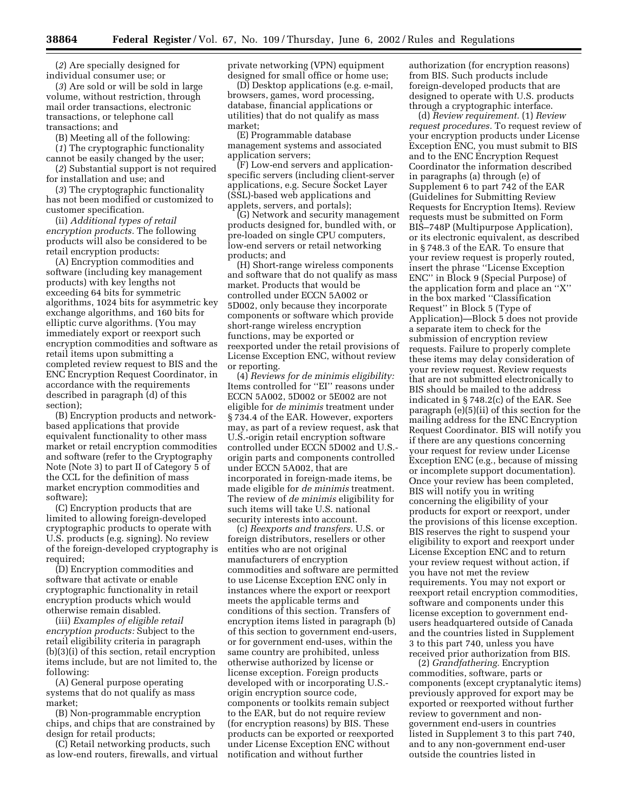(*2*) Are specially designed for individual consumer use; or

(*3*) Are sold or will be sold in large volume, without restriction, through mail order transactions, electronic transactions, or telephone call transactions; and

(B) Meeting all of the following:

(*1*) The cryptographic functionality cannot be easily changed by the user;

(*2*) Substantial support is not required for installation and use; and

(*3*) The cryptographic functionality has not been modified or customized to customer specification.

(ii) *Additional types of retail encryption products.* The following products will also be considered to be retail encryption products:

(A) Encryption commodities and software (including key management products) with key lengths not exceeding 64 bits for symmetric algorithms, 1024 bits for asymmetric key exchange algorithms, and 160 bits for elliptic curve algorithms. (You may immediately export or reexport such encryption commodities and software as retail items upon submitting a completed review request to BIS and the ENC Encryption Request Coordinator, in accordance with the requirements described in paragraph (d) of this section);

(B) Encryption products and networkbased applications that provide equivalent functionality to other mass market or retail encryption commodities and software (refer to the Cryptography Note (Note 3) to part II of Category 5 of the CCL for the definition of mass market encryption commodities and software);

(C) Encryption products that are limited to allowing foreign-developed cryptographic products to operate with U.S. products (e.g. signing). No review of the foreign-developed cryptography is required;

(D) Encryption commodities and software that activate or enable cryptographic functionality in retail encryption products which would otherwise remain disabled.

(iii) *Examples of eligible retail encryption products:* Subject to the retail eligibility criteria in paragraph (b)(3)(i) of this section, retail encryption items include, but are not limited to, the following:

(A) General purpose operating systems that do not qualify as mass market;

(B) Non-programmable encryption chips, and chips that are constrained by design for retail products;

(C) Retail networking products, such as low-end routers, firewalls, and virtual private networking (VPN) equipment designed for small office or home use;

(D) Desktop applications (e.g. e-mail, browsers, games, word processing, database, financial applications or utilities) that do not qualify as mass market;

(E) Programmable database management systems and associated application servers;

(F) Low-end servers and applicationspecific servers (including client-server applications, e.g. Secure Socket Layer (SSL)-based web applications and applets, servers, and portals);

(G) Network and security management products designed for, bundled with, or pre-loaded on single CPU computers, low-end servers or retail networking products; and

(H) Short-range wireless components and software that do not qualify as mass market. Products that would be controlled under ECCN 5A002 or 5D002, only because they incorporate components or software which provide short-range wireless encryption functions, may be exported or reexported under the retail provisions of License Exception ENC, without review or reporting.

(4) *Reviews for de minimis eligibility:* Items controlled for ''EI'' reasons under ECCN 5A002, 5D002 or 5E002 are not eligible for *de minimis* treatment under § 734.4 of the EAR. However, exporters may, as part of a review request, ask that U.S.-origin retail encryption software controlled under ECCN 5D002 and U.S. origin parts and components controlled under ECCN 5A002, that are incorporated in foreign-made items, be made eligible for *de minimis* treatment. The review of *de minimis* eligibility for such items will take U.S. national security interests into account.

(c) *Reexports and transfers.* U.S. or foreign distributors, resellers or other entities who are not original manufacturers of encryption commodities and software are permitted to use License Exception ENC only in instances where the export or reexport meets the applicable terms and conditions of this section. Transfers of encryption items listed in paragraph (b) of this section to government end-users, or for government end-uses, within the same country are prohibited, unless otherwise authorized by license or license exception. Foreign products developed with or incorporating U.S. origin encryption source code, components or toolkits remain subject to the EAR, but do not require review (for encryption reasons) by BIS. These products can be exported or reexported under License Exception ENC without notification and without further

authorization (for encryption reasons) from BIS. Such products include foreign-developed products that are designed to operate with U.S. products through a cryptographic interface.

(d) *Review requirement.* (1) *Review request procedures.* To request review of your encryption products under License Exception ENC, you must submit to BIS and to the ENC Encryption Request Coordinator the information described in paragraphs (a) through (e) of Supplement 6 to part 742 of the EAR (Guidelines for Submitting Review Requests for Encryption Items). Review requests must be submitted on Form BIS–748P (Multipurpose Application), or its electronic equivalent, as described in § 748.3 of the EAR. To ensure that your review request is properly routed, insert the phrase ''License Exception ENC'' in Block 9 (Special Purpose) of the application form and place an ''X'' in the box marked ''Classification Request'' in Block 5 (Type of Application)—Block 5 does not provide a separate item to check for the submission of encryption review requests. Failure to properly complete these items may delay consideration of your review request. Review requests that are not submitted electronically to BIS should be mailed to the address indicated in § 748.2(c) of the EAR. See paragraph (e)(5)(ii) of this section for the mailing address for the ENC Encryption Request Coordinator. BIS will notify you if there are any questions concerning your request for review under License Exception ENC (e.g., because of missing or incomplete support documentation). Once your review has been completed, BIS will notify you in writing concerning the eligibility of your products for export or reexport, under the provisions of this license exception. BIS reserves the right to suspend your eligibility to export and reexport under License Exception ENC and to return your review request without action, if you have not met the review requirements. You may not export or reexport retail encryption commodities, software and components under this license exception to government endusers headquartered outside of Canada and the countries listed in Supplement 3 to this part 740, unless you have received prior authorization from BIS.

(2) *Grandfathering.* Encryption commodities, software, parts or components (except cryptanalytic items) previously approved for export may be exported or reexported without further review to government and nongovernment end-users in countries listed in Supplement 3 to this part 740, and to any non-government end-user outside the countries listed in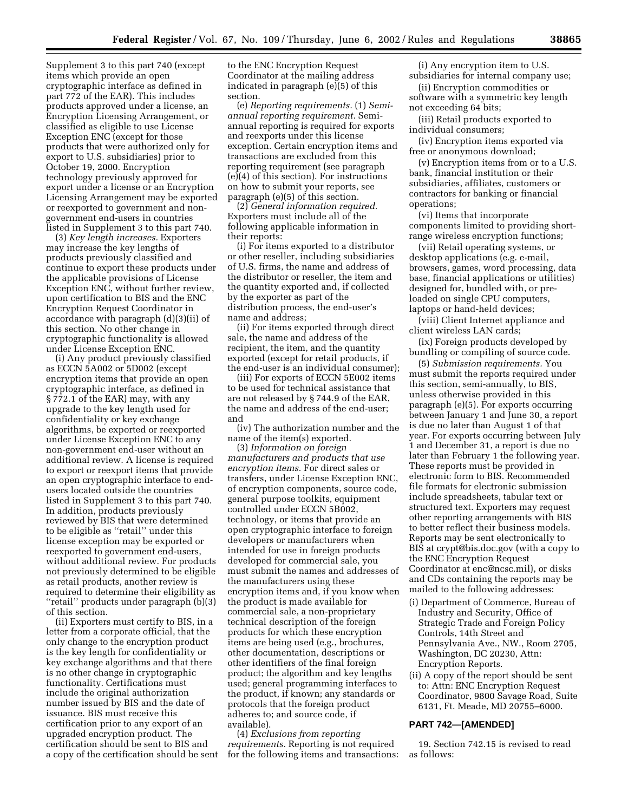Supplement 3 to this part 740 (except items which provide an open cryptographic interface as defined in part 772 of the EAR). This includes products approved under a license, an Encryption Licensing Arrangement, or classified as eligible to use License Exception ENC (except for those products that were authorized only for export to U.S. subsidiaries) prior to October 19, 2000. Encryption technology previously approved for export under a license or an Encryption Licensing Arrangement may be exported or reexported to government and nongovernment end-users in countries listed in Supplement 3 to this part 740.

(3) *Key length increases.* Exporters may increase the key lengths of products previously classified and continue to export these products under the applicable provisions of License Exception ENC, without further review, upon certification to BIS and the ENC Encryption Request Coordinator in accordance with paragraph (d)(3)(ii) of this section. No other change in cryptographic functionality is allowed under License Exception ENC.

(i) Any product previously classified as ECCN 5A002 or 5D002 (except encryption items that provide an open cryptographic interface, as defined in § 772.1 of the EAR) may, with any upgrade to the key length used for confidentiality or key exchange algorithms, be exported or reexported under License Exception ENC to any non-government end-user without an additional review. A license is required to export or reexport items that provide an open cryptographic interface to endusers located outside the countries listed in Supplement 3 to this part 740. In addition, products previously reviewed by BIS that were determined to be eligible as ''retail'' under this license exception may be exported or reexported to government end-users, without additional review. For products not previously determined to be eligible as retail products, another review is required to determine their eligibility as ''retail'' products under paragraph (b)(3) of this section.

(ii) Exporters must certify to BIS, in a letter from a corporate official, that the only change to the encryption product is the key length for confidentiality or key exchange algorithms and that there is no other change in cryptographic functionality. Certifications must include the original authorization number issued by BIS and the date of issuance. BIS must receive this certification prior to any export of an upgraded encryption product. The certification should be sent to BIS and a copy of the certification should be sent to the ENC Encryption Request Coordinator at the mailing address indicated in paragraph (e)(5) of this section.

(e) *Reporting requirements.* (1) *Semiannual reporting requirement.* Semiannual reporting is required for exports and reexports under this license exception. Certain encryption items and transactions are excluded from this reporting requirement (see paragraph (e)(4) of this section). For instructions on how to submit your reports, see paragraph (e)(5) of this section.

(2) *General information required.* Exporters must include all of the following applicable information in their reports:

(i) For items exported to a distributor or other reseller, including subsidiaries of U.S. firms, the name and address of the distributor or reseller, the item and the quantity exported and, if collected by the exporter as part of the distribution process, the end-user's name and address;

(ii) For items exported through direct sale, the name and address of the recipient, the item, and the quantity exported (except for retail products, if the end-user is an individual consumer);

(iii) For exports of ECCN 5E002 items to be used for technical assistance that are not released by § 744.9 of the EAR, the name and address of the end-user; and

(iv) The authorization number and the name of the item(s) exported.

(3) *Information on foreign manufacturers and products that use encryption items.* For direct sales or transfers, under License Exception ENC, of encryption components, source code, general purpose toolkits, equipment controlled under ECCN 5B002, technology, or items that provide an open cryptographic interface to foreign developers or manufacturers when intended for use in foreign products developed for commercial sale, you must submit the names and addresses of the manufacturers using these encryption items and, if you know when the product is made available for commercial sale, a non-proprietary technical description of the foreign products for which these encryption items are being used (e.g., brochures, other documentation, descriptions or other identifiers of the final foreign product; the algorithm and key lengths used; general programming interfaces to the product, if known; any standards or protocols that the foreign product adheres to; and source code, if available).

(4) *Exclusions from reporting requirements.* Reporting is not required for the following items and transactions:

(i) Any encryption item to U.S. subsidiaries for internal company use;

(ii) Encryption commodities or software with a symmetric key length not exceeding 64 bits;

(iii) Retail products exported to individual consumers;

(iv) Encryption items exported via free or anonymous download;

(v) Encryption items from or to a U.S. bank, financial institution or their subsidiaries, affiliates, customers or contractors for banking or financial operations;

(vi) Items that incorporate components limited to providing shortrange wireless encryption functions;

(vii) Retail operating systems, or desktop applications (e.g. e-mail, browsers, games, word processing, data base, financial applications or utilities) designed for, bundled with, or preloaded on single CPU computers, laptops or hand-held devices;

(viii) Client Internet appliance and client wireless LAN cards;

(ix) Foreign products developed by bundling or compiling of source code.

(5) *Submission requirements.* You must submit the reports required under this section, semi-annually, to BIS, unless otherwise provided in this paragraph (e)(5). For exports occurring between January 1 and June 30, a report is due no later than August 1 of that year. For exports occurring between July 1 and December 31, a report is due no later than February 1 the following year. These reports must be provided in electronic form to BIS. Recommended file formats for electronic submission include spreadsheets, tabular text or structured text. Exporters may request other reporting arrangements with BIS to better reflect their business models. Reports may be sent electronically to BIS at crypt@bis.doc.gov (with a copy to the ENC Encryption Request Coordinator at enc@ncsc.mil), or disks and CDs containing the reports may be mailed to the following addresses:

- (i) Department of Commerce, Bureau of Industry and Security, Office of Strategic Trade and Foreign Policy Controls, 14th Street and Pennsylvania Ave., NW., Room 2705, Washington, DC 20230, Attn: Encryption Reports.
- (ii) A copy of the report should be sent to: Attn: ENC Encryption Request Coordinator, 9800 Savage Road, Suite 6131, Ft. Meade, MD 20755–6000.

## **PART 742—[AMENDED]**

19. Section 742.15 is revised to read as follows: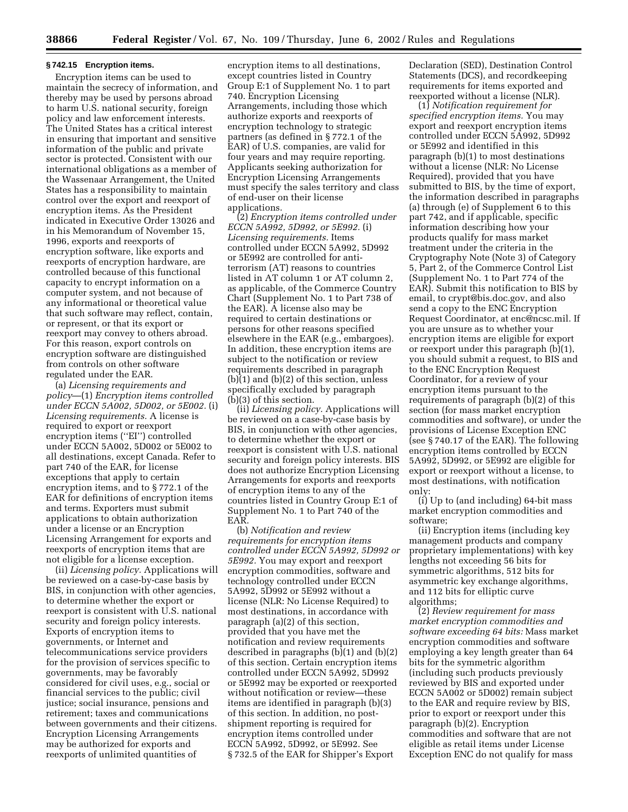#### **§ 742.15 Encryption items.**

Encryption items can be used to maintain the secrecy of information, and thereby may be used by persons abroad to harm U.S. national security, foreign policy and law enforcement interests. The United States has a critical interest in ensuring that important and sensitive information of the public and private sector is protected. Consistent with our international obligations as a member of the Wassenaar Arrangement, the United States has a responsibility to maintain control over the export and reexport of encryption items. As the President indicated in Executive Order 13026 and in his Memorandum of November 15, 1996, exports and reexports of encryption software, like exports and reexports of encryption hardware, are controlled because of this functional capacity to encrypt information on a computer system, and not because of any informational or theoretical value that such software may reflect, contain, or represent, or that its export or reexport may convey to others abroad. For this reason, export controls on encryption software are distinguished from controls on other software regulated under the EAR.

(a) *Licensing requirements and policy*—(1) *Encryption items controlled under ECCN 5A002, 5D002, or 5E002.* (i) *Licensing requirements.* A license is required to export or reexport encryption items (''EI'') controlled under ECCN 5A002, 5D002 or 5E002 to all destinations, except Canada. Refer to part 740 of the EAR, for license exceptions that apply to certain encryption items, and to § 772.1 of the EAR for definitions of encryption items and terms. Exporters must submit applications to obtain authorization under a license or an Encryption Licensing Arrangement for exports and reexports of encryption items that are not eligible for a license exception.

(ii) *Licensing policy.* Applications will be reviewed on a case-by-case basis by BIS, in conjunction with other agencies, to determine whether the export or reexport is consistent with U.S. national security and foreign policy interests. Exports of encryption items to governments, or Internet and telecommunications service providers for the provision of services specific to governments, may be favorably considered for civil uses, e.g., social or financial services to the public; civil justice; social insurance, pensions and retirement; taxes and communications between governments and their citizens. Encryption Licensing Arrangements may be authorized for exports and reexports of unlimited quantities of

encryption items to all destinations, except countries listed in Country Group E:1 of Supplement No. 1 to part 740. Encryption Licensing Arrangements, including those which authorize exports and reexports of encryption technology to strategic partners (as defined in § 772.1 of the EAR) of U.S. companies, are valid for four years and may require reporting. Applicants seeking authorization for Encryption Licensing Arrangements must specify the sales territory and class of end-user on their license applications.

(2) *Encryption items controlled under ECCN 5A992, 5D992, or 5E992.* (i) *Licensing requirements.* Items controlled under ECCN 5A992, 5D992 or 5E992 are controlled for antiterrorism (AT) reasons to countries listed in AT column 1 or AT column 2, as applicable, of the Commerce Country Chart (Supplement No. 1 to Part 738 of the EAR). A license also may be required to certain destinations or persons for other reasons specified elsewhere in the EAR (e.g., embargoes). In addition, these encryption items are subject to the notification or review requirements described in paragraph (b)(1) and (b)(2) of this section, unless specifically excluded by paragraph (b)(3) of this section.

(ii) *Licensing policy.* Applications will be reviewed on a case-by-case basis by BIS, in conjunction with other agencies, to determine whether the export or reexport is consistent with U.S. national security and foreign policy interests. BIS does not authorize Encryption Licensing Arrangements for exports and reexports of encryption items to any of the countries listed in Country Group E:1 of Supplement No. 1 to Part 740 of the EAR.

(b) *Notification and review requirements for encryption items controlled under ECCN 5A992, 5D992 or 5E992.* You may export and reexport encryption commodities, software and technology controlled under ECCN 5A992, 5D992 or 5E992 without a license (NLR: No License Required) to most destinations, in accordance with paragraph (a)(2) of this section, provided that you have met the notification and review requirements described in paragraphs (b)(1) and (b)(2) of this section. Certain encryption items controlled under ECCN 5A992, 5D992 or 5E992 may be exported or reexported without notification or review—these items are identified in paragraph (b)(3) of this section. In addition, no postshipment reporting is required for encryption items controlled under ECCN 5A992, 5D992, or 5E992. See § 732.5 of the EAR for Shipper's Export

Declaration (SED), Destination Control Statements (DCS), and recordkeeping requirements for items exported and reexported without a license (NLR).

(1) *Notification requirement for specified encryption items.* You may export and reexport encryption items controlled under ECCN 5A992, 5D992 or 5E992 and identified in this paragraph (b)(1) to most destinations without a license (NLR: No License Required), provided that you have submitted to BIS, by the time of export, the information described in paragraphs (a) through (e) of Supplement 6 to this part 742, and if applicable, specific information describing how your products qualify for mass market treatment under the criteria in the Cryptography Note (Note 3) of Category 5, Part 2, of the Commerce Control List (Supplement No. 1 to Part 774 of the EAR). Submit this notification to BIS by email, to crypt@bis.doc.gov, and also send a copy to the ENC Encryption Request Coordinator, at enc@ncsc.mil. If you are unsure as to whether your encryption items are eligible for export or reexport under this paragraph (b)(1), you should submit a request, to BIS and to the ENC Encryption Request Coordinator, for a review of your encryption items pursuant to the requirements of paragraph (b)(2) of this section (for mass market encryption commodities and software), or under the provisions of License Exception ENC (see § 740.17 of the EAR). The following encryption items controlled by ECCN 5A992, 5D992, or 5E992 are eligible for export or reexport without a license, to most destinations, with notification only:

(i) Up to (and including) 64-bit mass market encryption commodities and software;

(ii) Encryption items (including key management products and company proprietary implementations) with key lengths not exceeding 56 bits for symmetric algorithms, 512 bits for asymmetric key exchange algorithms, and 112 bits for elliptic curve algorithms;

(2) *Review requirement for mass market encryption commodities and software exceeding 64 bits:* Mass market encryption commodities and software employing a key length greater than 64 bits for the symmetric algorithm (including such products previously reviewed by BIS and exported under ECCN 5A002 or 5D002) remain subject to the EAR and require review by BIS, prior to export or reexport under this paragraph (b)(2). Encryption commodities and software that are not eligible as retail items under License Exception ENC do not qualify for mass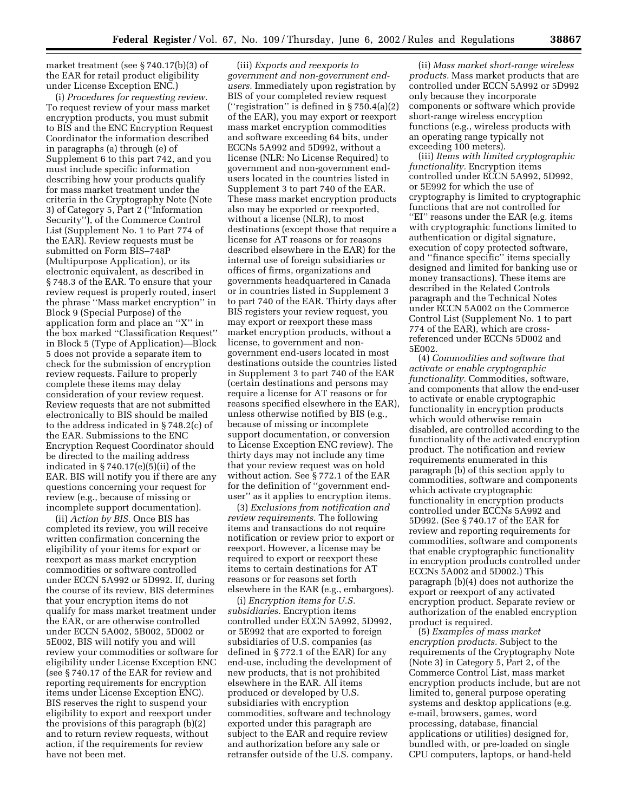market treatment (see § 740.17(b)(3) of the EAR for retail product eligibility under License Exception ENC.)

(i) *Procedures for requesting review.* To request review of your mass market encryption products, you must submit to BIS and the ENC Encryption Request Coordinator the information described in paragraphs (a) through (e) of Supplement 6 to this part 742, and you must include specific information describing how your products qualify for mass market treatment under the criteria in the Cryptography Note (Note 3) of Category 5, Part 2 (''Information Security''), of the Commerce Control List (Supplement No. 1 to Part 774 of the EAR). Review requests must be submitted on Form BIS–748P (Multipurpose Application), or its electronic equivalent, as described in § 748.3 of the EAR. To ensure that your review request is properly routed, insert the phrase ''Mass market encryption'' in Block 9 (Special Purpose) of the application form and place an ''X'' in the box marked ''Classification Request'' in Block 5 (Type of Application)—Block 5 does not provide a separate item to check for the submission of encryption review requests. Failure to properly complete these items may delay consideration of your review request. Review requests that are not submitted electronically to BIS should be mailed to the address indicated in § 748.2(c) of the EAR. Submissions to the ENC Encryption Request Coordinator should be directed to the mailing address indicated in  $\S 740.17(e)(5)(ii)$  of the EAR. BIS will notify you if there are any questions concerning your request for review (e.g., because of missing or incomplete support documentation).

(ii) *Action by BIS.* Once BIS has completed its review, you will receive written confirmation concerning the eligibility of your items for export or reexport as mass market encryption commodities or software controlled under ECCN 5A992 or 5D992. If, during the course of its review, BIS determines that your encryption items do not qualify for mass market treatment under the EAR, or are otherwise controlled under ECCN 5A002, 5B002, 5D002 or 5E002, BIS will notify you and will review your commodities or software for eligibility under License Exception ENC (see § 740.17 of the EAR for review and reporting requirements for encryption items under License Exception ENC). BIS reserves the right to suspend your eligibility to export and reexport under the provisions of this paragraph (b)(2) and to return review requests, without action, if the requirements for review have not been met.

(iii) *Exports and reexports to government and non-government endusers.* Immediately upon registration by BIS of your completed review request (''registration'' is defined in § 750.4(a)(2) of the EAR), you may export or reexport mass market encryption commodities and software exceeding 64 bits, under ECCNs 5A992 and 5D992, without a license (NLR: No License Required) to government and non-government endusers located in the countries listed in Supplement 3 to part 740 of the EAR. These mass market encryption products also may be exported or reexported, without a license (NLR), to most destinations (except those that require a license for AT reasons or for reasons described elsewhere in the EAR) for the internal use of foreign subsidiaries or offices of firms, organizations and governments headquartered in Canada or in countries listed in Supplement 3 to part 740 of the EAR. Thirty days after BIS registers your review request, you may export or reexport these mass market encryption products, without a license, to government and nongovernment end-users located in most destinations outside the countries listed in Supplement 3 to part 740 of the EAR (certain destinations and persons may require a license for AT reasons or for reasons specified elsewhere in the EAR), unless otherwise notified by BIS (e.g., because of missing or incomplete support documentation, or conversion to License Exception ENC review). The thirty days may not include any time that your review request was on hold without action. See § 772.1 of the EAR for the definition of ''government enduser'' as it applies to encryption items.

(3) *Exclusions from notification and review requirements.* The following items and transactions do not require notification or review prior to export or reexport. However, a license may be required to export or reexport these items to certain destinations for AT reasons or for reasons set forth elsewhere in the EAR (e.g., embargoes).

(i) *Encryption items for U.S. subsidiaries.* Encryption items controlled under ECCN 5A992, 5D992, or 5E992 that are exported to foreign subsidiaries of U.S. companies (as defined in § 772.1 of the EAR) for any end-use, including the development of new products, that is not prohibited elsewhere in the EAR. All items produced or developed by U.S. subsidiaries with encryption commodities, software and technology exported under this paragraph are subject to the EAR and require review and authorization before any sale or retransfer outside of the U.S. company.

(ii) *Mass market short-range wireless products.* Mass market products that are controlled under ECCN 5A992 or 5D992 only because they incorporate components or software which provide short-range wireless encryption functions (e.g., wireless products with an operating range typically not exceeding 100 meters).

(iii) *Items with limited cryptographic functionality.* Encryption items controlled under ECCN 5A992, 5D992, or 5E992 for which the use of cryptography is limited to cryptographic functions that are not controlled for ''EI'' reasons under the EAR (e.g. items with cryptographic functions limited to authentication or digital signature, execution of copy protected software, and ''finance specific'' items specially designed and limited for banking use or money transactions). These items are described in the Related Controls paragraph and the Technical Notes under ECCN 5A002 on the Commerce Control List (Supplement No. 1 to part 774 of the EAR), which are crossreferenced under ECCNs 5D002 and 5E002.

(4) *Commodities and software that activate or enable cryptographic functionality.* Commodities, software, and components that allow the end-user to activate or enable cryptographic functionality in encryption products which would otherwise remain disabled, are controlled according to the functionality of the activated encryption product. The notification and review requirements enumerated in this paragraph (b) of this section apply to commodities, software and components which activate cryptographic functionality in encryption products controlled under ECCNs 5A992 and 5D992. (See § 740.17 of the EAR for review and reporting requirements for commodities, software and components that enable cryptographic functionality in encryption products controlled under ECCNs 5A002 and 5D002.) This paragraph (b)(4) does not authorize the export or reexport of any activated encryption product. Separate review or authorization of the enabled encryption product is required.

(5) *Examples of mass market encryption products.* Subject to the requirements of the Cryptography Note (Note 3) in Category 5, Part 2, of the Commerce Control List, mass market encryption products include, but are not limited to, general purpose operating systems and desktop applications (e.g. e-mail, browsers, games, word processing, database, financial applications or utilities) designed for, bundled with, or pre-loaded on single CPU computers, laptops, or hand-held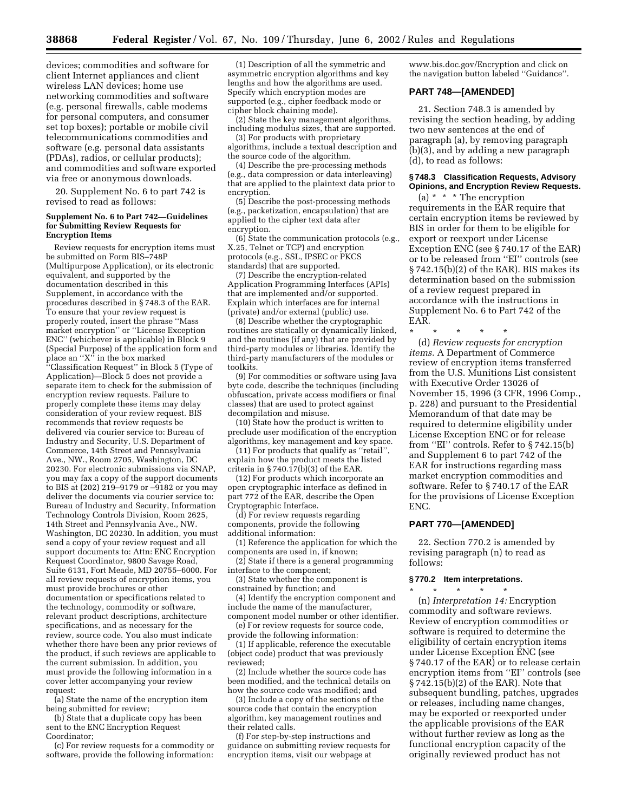devices; commodities and software for client Internet appliances and client wireless LAN devices; home use networking commodities and software (e.g. personal firewalls, cable modems for personal computers, and consumer set top boxes); portable or mobile civil telecommunications commodities and software (e.g. personal data assistants (PDAs), radios, or cellular products); and commodities and software exported via free or anonymous downloads.

20. Supplement No. 6 to part 742 is revised to read as follows:

## **Supplement No. 6 to Part 742—Guidelines for Submitting Review Requests for Encryption Items**

Review requests for encryption items must be submitted on Form BIS–748P (Multipurpose Application), or its electronic equivalent, and supported by the documentation described in this Supplement, in accordance with the procedures described in § 748.3 of the EAR. To ensure that your review request is properly routed, insert the phrase ''Mass market encryption'' or ''License Exception ENC'' (whichever is applicable) in Block 9 (Special Purpose) of the application form and place an ''X'' in the box marked

''Classification Request'' in Block 5 (Type of Application)—Block 5 does not provide a separate item to check for the submission of encryption review requests. Failure to properly complete these items may delay consideration of your review request. BIS recommends that review requests be delivered via courier service to: Bureau of Industry and Security, U.S. Department of Commerce, 14th Street and Pennsylvania Ave., NW., Room 2705, Washington, DC 20230. For electronic submissions via SNAP, you may fax a copy of the support documents to BIS at (202) 219–9179 or –9182 or you may deliver the documents via courier service to: Bureau of Industry and Security, Information Technology Controls Division, Room 2625, 14th Street and Pennsylvania Ave., NW. Washington, DC 20230. In addition, you must send a copy of your review request and all support documents to: Attn: ENC Encryption Request Coordinator, 9800 Savage Road, Suite 6131, Fort Meade, MD 20755–6000. For all review requests of encryption items, you must provide brochures or other documentation or specifications related to the technology, commodity or software, relevant product descriptions, architecture specifications, and as necessary for the review, source code. You also must indicate whether there have been any prior reviews of the product, if such reviews are applicable to the current submission. In addition, you must provide the following information in a cover letter accompanying your review request:

(a) State the name of the encryption item being submitted for review;

(b) State that a duplicate copy has been sent to the ENC Encryption Request Coordinator;

(c) For review requests for a commodity or software, provide the following information:

(1) Description of all the symmetric and asymmetric encryption algorithms and key lengths and how the algorithms are used. Specify which encryption modes are supported (e.g., cipher feedback mode or cipher block chaining mode).

(2) State the key management algorithms, including modulus sizes, that are supported.

(3) For products with proprietary algorithms, include a textual description and the source code of the algorithm.

(4) Describe the pre-processing methods (e.g., data compression or data interleaving) that are applied to the plaintext data prior to encryption.

(5) Describe the post-processing methods (e.g., packetization, encapsulation) that are applied to the cipher text data after encryption.

(6) State the communication protocols (e.g., X.25, Telnet or TCP) and encryption protocols (e.g., SSL, IPSEC or PKCS standards) that are supported.

(7) Describe the encryption-related Application Programming Interfaces (APIs) that are implemented and/or supported. Explain which interfaces are for internal (private) and/or external (public) use.

(8) Describe whether the cryptographic routines are statically or dynamically linked, and the routines (if any) that are provided by third-party modules or libraries. Identify the third-party manufacturers of the modules or toolkits.

(9) For commodities or software using Java byte code, describe the techniques (including obfuscation, private access modifiers or final classes) that are used to protect against decompilation and misuse.

(10) State how the product is written to preclude user modification of the encryption algorithms, key management and key space.

(11) For products that qualify as ''retail'', explain how the product meets the listed criteria in  $\S 740.17(b)(3)$  of the EAR.

(12) For products which incorporate an open cryptographic interface as defined in part 772 of the EAR, describe the Open Cryptographic Interface.

(d) For review requests regarding components, provide the following additional information:

(1) Reference the application for which the components are used in, if known;

 $(2)$  State if there is a general programming interface to the component;

(3) State whether the component is constrained by function; and

(4) Identify the encryption component and include the name of the manufacturer,

component model number or other identifier. (e) For review requests for source code,

provide the following information: (1) If applicable, reference the executable

(object code) product that was previously reviewed; (2) Include whether the source code has

been modified, and the technical details on how the source code was modified; and

(3) Include a copy of the sections of the source code that contain the encryption algorithm, key management routines and their related calls.

(f) For step-by-step instructions and guidance on submitting review requests for encryption items, visit our webpage at

www.bis.doc.gov/Encryption and click on the navigation button labeled ''Guidance''.

## **PART 748—[AMENDED]**

21. Section 748.3 is amended by revising the section heading, by adding two new sentences at the end of paragraph (a), by removing paragraph (b)(3), and by adding a new paragraph (d), to read as follows:

## **§ 748.3 Classification Requests, Advisory Opinions, and Encryption Review Requests.**

(a) \* \* \* The encryption requirements in the EAR require that certain encryption items be reviewed by BIS in order for them to be eligible for export or reexport under License Exception ENC (see § 740.17 of the EAR) or to be released from ''EI'' controls (see § 742.15(b)(2) of the EAR). BIS makes its determination based on the submission of a review request prepared in accordance with the instructions in Supplement No. 6 to Part 742 of the EAR.

(d) *Review requests for encryption items.* A Department of Commerce review of encryption items transferred from the U.S. Munitions List consistent with Executive Order 13026 of November 15, 1996 (3 CFR, 1996 Comp., p. 228) and pursuant to the Presidential Memorandum of that date may be required to determine eligibility under License Exception ENC or for release from ''EI'' controls. Refer to § 742.15(b) and Supplement 6 to part 742 of the EAR for instructions regarding mass market encryption commodities and software. Refer to § 740.17 of the EAR for the provisions of License Exception ENC.

## **PART 770—[AMENDED]**

\* \* \* \* \*

22. Section 770.2 is amended by revising paragraph (n) to read as follows:

#### **§ 770.2 Item interpretations.**

\* \* \* \* \* (n) *Interpretation 14:* Encryption commodity and software reviews. Review of encryption commodities or software is required to determine the eligibility of certain encryption items under License Exception ENC (see § 740.17 of the EAR) or to release certain encryption items from ''EI'' controls (see § 742.15(b)(2) of the EAR). Note that subsequent bundling, patches, upgrades or releases, including name changes, may be exported or reexported under the applicable provisions of the EAR without further review as long as the functional encryption capacity of the originally reviewed product has not